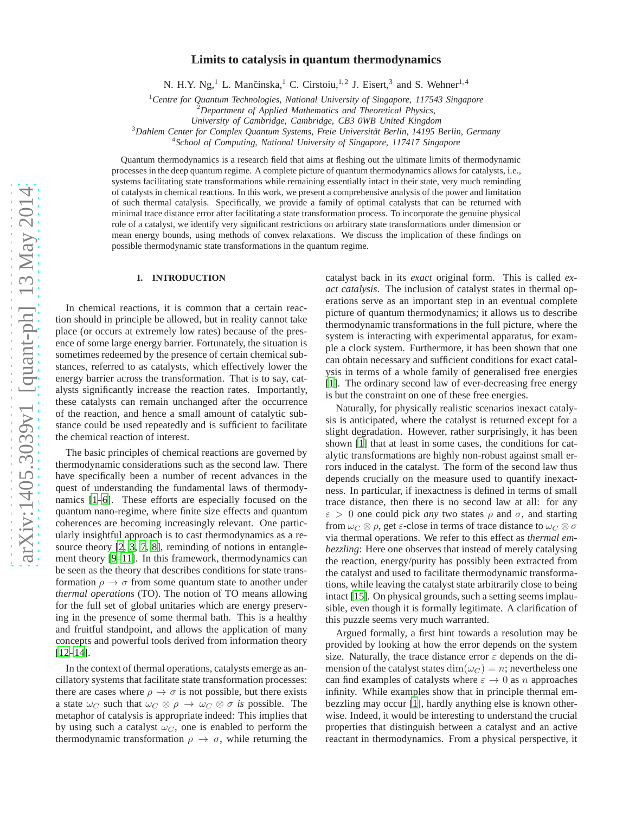# **Limits to catalysis in quantum thermodynamics**

N. H.Y. Ng,<sup>1</sup> L. Mančinska,<sup>1</sup> C. Cirstoiu,<sup>1,2</sup> J. Eisert,<sup>3</sup> and S. Wehner<sup>1,4</sup>

<sup>1</sup>*Centre for Quantum Technologies, National University of Singapore, 117543 Singapore*

<sup>2</sup>*Department of Applied Mathematics and Theoretical Physics,*

*University of Cambridge, Cambridge, CB3 0WB United Kingdom*

<sup>3</sup>Dahlem Center for Complex Quantum Systems, Freie Universität Berlin, 14195 Berlin, Germany

4 *School of Computing, National University of Singapore, 117417 Singapore*

Quantum thermodynamics is a research field that aims at fleshing out the ultimate limits of thermodynamic processes in the deep quantum regime. A complete picture of quantum thermodynamics allows for catalysts, i.e., systems facilitating state transformations while remaining essentially intact in their state, very much reminding of catalysts in chemical reactions. In this work, we present a comprehensive analysis of the power and limitation of such thermal catalysis. Specifically, we provide a family of optimal catalysts that can be returned with minimal trace distance error after facilitating a state transformation process. To incorporate the genuine physical role of a catalyst, we identify very significant restrictions on arbitrary state transformations under dimension or mean energy bounds, using methods of convex relaxations. We discuss the implication of these findings on possible thermodynamic state transformations in the quantum regime.

# **I. INTRODUCTION**

In chemical reactions, it is common that a certain reaction should in principle be allowed, but in reality cannot take place (or occurs at extremely low rates) because of the presence of some large energy barrier. Fortunately, the situation is sometimes redeemed by the presence of certain chemical substances, referred to as catalysts, which effectively lower the energy barrier across the transformation. That is to say, catalysts significantly increase the reaction rates. Importantly, these catalysts can remain unchanged after the occurrence of the reaction, and hence a small amount of catalytic substance could be used repeatedly and is sufficient to facilitate the chemical reaction of interest.

The basic principles of chemical reactions are governed by thermodynamic considerations such as the second law. There have specifically been a number of recent advances in the quest of understanding the fundamental laws of thermodynamics [\[1](#page-17-0)[–6\]](#page-17-1). These efforts are especially focused on the quantum nano-regime, where finite size effects and quantum coherences are becoming increasingly relevant. One particularly insightful approach is to cast thermodynamics as a re-source theory [\[2,](#page-17-2) [3](#page-17-3), [7](#page-17-4), [8\]](#page-17-5), reminding of notions in entanglement theory [\[9](#page-17-6)[–11\]](#page-17-7). In this framework, thermodynamics can be seen as the theory that describes conditions for state transformation  $\rho \to \sigma$  from some quantum state to another under *thermal operations* (TO). The notion of TO means allowing for the full set of global unitaries which are energy preserving in the presence of some thermal bath. This is a healthy and fruitful standpoint, and allows the application of many concepts and powerful tools derived from information theory [\[12](#page-17-8)[–14](#page-17-9)].

In the context of thermal operations, catalysts emerge as ancillatory systems that facilitate state transformation processes: there are cases where  $\rho \to \sigma$  is not possible, but there exists a state  $\omega_C$  such that  $\omega_C \otimes \rho \to \omega_C \otimes \sigma$  *is* possible. The metaphor of catalysis is appropriate indeed: This implies that by using such a catalyst  $\omega_C$ , one is enabled to perform the thermodynamic transformation  $\rho \to \sigma$ , while returning the catalyst back in its *exact* original form. This is called *exact catalysis*. The inclusion of catalyst states in thermal operations serve as an important step in an eventual complete picture of quantum thermodynamics; it allows us to describe thermodynamic transformations in the full picture, where the system is interacting with experimental apparatus, for example a clock system. Furthermore, it has been shown that one can obtain necessary and sufficient conditions for exact catalysis in terms of a whole family of generalised free energies [\[1](#page-17-0)]. The ordinary second law of ever-decreasing free energy is but the constraint on one of these free energies.

Naturally, for physically realistic scenarios inexact catalysis is anticipated, where the catalyst is returned except for a slight degradation. However, rather surprisingly, it has been shown [\[1](#page-17-0)] that at least in some cases, the conditions for catalytic transformations are highly non-robust against small errors induced in the catalyst. The form of the second law thus depends crucially on the measure used to quantify inexactness. In particular, if inexactness is defined in terms of small trace distance, then there is no second law at all: for any  $\varepsilon > 0$  one could pick *any* two states  $\rho$  and  $\sigma$ , and starting from  $\omega_C \otimes \rho$ , get  $\varepsilon$ -close in terms of trace distance to  $\omega_C \otimes \sigma$ via thermal operations. We refer to this effect as *thermal embezzling*: Here one observes that instead of merely catalysing the reaction, energy/purity has possibly been extracted from the catalyst and used to facilitate thermodynamic transformations, while leaving the catalyst state arbitrarily close to being intact [\[15\]](#page-17-10). On physical grounds, such a setting seems implausible, even though it is formally legitimate. A clarification of this puzzle seems very much warranted.

Argued formally, a first hint towards a resolution may be provided by looking at how the error depends on the system size. Naturally, the trace distance error  $\varepsilon$  depends on the dimension of the catalyst states  $\dim(\omega_C) = n$ ; nevertheless one can find examples of catalysts where  $\varepsilon \to 0$  as n approaches infinity. While examples show that in principle thermal embezzling may occur [\[1\]](#page-17-0), hardly anything else is known otherwise. Indeed, it would be interesting to understand the crucial properties that distinguish between a catalyst and an active reactant in thermodynamics. From a physical perspective, it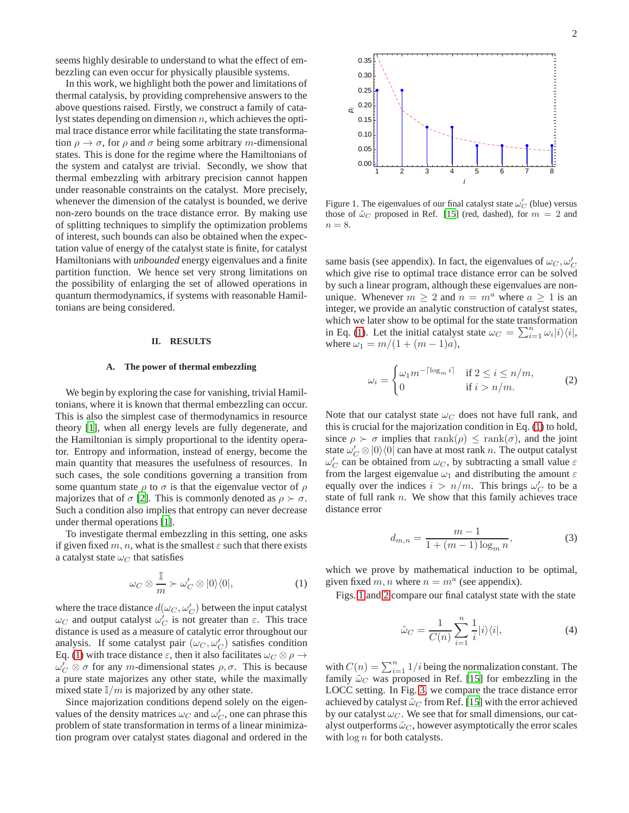seems highly desirable to understand to what the effect of embezzling can even occur for physically plausible systems.

In this work, we highlight both the power and limitations of thermal catalysis, by providing comprehensive answers to the above questions raised. Firstly, we construct a family of catalyst states depending on dimension  $n$ , which achieves the optimal trace distance error while facilitating the state transformation  $\rho \to \sigma$ , for  $\rho$  and  $\sigma$  being some arbitrary m-dimensional states. This is done for the regime where the Hamiltonians of the system and catalyst are trivial. Secondly, we show that thermal embezzling with arbitrary precision cannot happen under reasonable constraints on the catalyst. More precisely, whenever the dimension of the catalyst is bounded, we derive non-zero bounds on the trace distance error. By making use of splitting techniques to simplify the optimization problems of interest, such bounds can also be obtained when the expectation value of energy of the catalyst state is finite, for catalyst Hamiltonians with *unbounded* energy eigenvalues and a finite partition function. We hence set very strong limitations on the possibility of enlarging the set of allowed operations in quantum thermodynamics, if systems with reasonable Hamiltonians are being considered.

### **II. RESULTS**

### **A. The power of thermal embezzling**

We begin by exploring the case for vanishing, trivial Hamiltonians, where it is known that thermal embezzling can occur. This is also the simplest case of thermodynamics in resource theory [\[1](#page-17-0)], when all energy levels are fully degenerate, and the Hamiltonian is simply proportional to the identity operator. Entropy and information, instead of energy, become the main quantity that measures the usefulness of resources. In such cases, the sole conditions governing a transition from some quantum state  $\rho$  to  $\sigma$  is that the eigenvalue vector of  $\rho$ majorizes that of  $\sigma$  [\[2](#page-17-2)]. This is commonly denoted as  $\rho \succ \sigma$ . Such a condition also implies that entropy can never decrease under thermal operations [\[1\]](#page-17-0).

To investigate thermal embezzling in this setting, one asks if given fixed m, n, what is the smallest  $\varepsilon$  such that there exists a catalyst state  $\omega_C$  that satisfies

<span id="page-1-0"></span>
$$
\omega_C \otimes \frac{\mathbb{I}}{m} \succ \omega'_C \otimes |0\rangle\langle 0|, \tag{1}
$$

where the trace distance  $d(\omega_C, \omega_C')$  between the input catalyst  $\omega_C$  and output catalyst  $\omega'_C$  is not greater than  $\varepsilon$ . This trace distance is used as a measure of catalytic error throughout our analysis. If some catalyst pair  $(\omega_C, \omega_C')$  satisfies condition Eq. [\(1\)](#page-1-0) with trace distance  $\varepsilon$ , then it also facilitates  $\omega_C \otimes \rho \to$  $\omega'_C \otimes \sigma$  for any *m*-dimensional states  $\rho, \sigma$ . This is because a pure state majorizes any other state, while the maximally mixed state  $\mathbb{I}/m$  is majorized by any other state.

Since majorization conditions depend solely on the eigenvalues of the density matrices  $\omega_C$  and  $\omega_C'$ , one can phrase this problem of state transformation in terms of a linear minimization program over catalyst states diagonal and ordered in the



<span id="page-1-1"></span>Figure 1. The eigenvalues of our final catalyst state  $\omega'_C$  (blue) versus those of  $\tilde{\omega}_C$  proposed in Ref. [\[15\]](#page-17-10) (red, dashed), for  $m = 2$  and  $n = 8$ .

same basis (see appendix). In fact, the eigenvalues of  $\omega_C$ ,  $\omega_C'$ which give rise to optimal trace distance error can be solved by such a linear program, although these eigenvalues are nonunique. Whenever  $m \geq 2$  and  $n = m^a$  where  $a \geq 1$  is an integer, we provide an analytic construction of catalyst states, which we later show to be optimal for the state transformation in Eq. [\(1\)](#page-1-0). Let the initial catalyst state  $\omega_C = \sum_{i=1}^n \omega_i |i\rangle\langle i|$ , where  $\omega_1 = m/(1 + (m - 1)a)$ ,

$$
\omega_i = \begin{cases} \omega_1 m^{-\lceil \log_m i \rceil} & \text{if } 2 \le i \le n/m, \\ 0 & \text{if } i > n/m. \end{cases} \tag{2}
$$

Note that our catalyst state  $\omega_C$  does not have full rank, and this is crucial for the majorization condition in Eq. [\(1\)](#page-1-0) to hold, since  $\rho \succ \sigma$  implies that  $\text{rank}(\rho) \leq \text{rank}(\sigma)$ , and the joint state  $\omega'_C \otimes |0\rangle\langle 0|$  can have at most rank n. The output catalyst  $\omega'_C$  can be obtained from  $\omega_C$ , by subtracting a small value  $\varepsilon$ from the largest eigenvalue  $\omega_1$  and distributing the amount  $\varepsilon$ equally over the indices  $i > n/m$ . This brings  $\omega'_C$  to be a state of full rank  $n$ . We show that this family achieves trace distance error

<span id="page-1-2"></span>
$$
d_{m,n} = \frac{m-1}{1 + (m-1)\log_m n},
$$
\n(3)

which we prove by mathematical induction to be optimal, given fixed  $m, n$  where  $n = m^a$  (see appendix).

Figs. [1](#page-1-1) and [2](#page-2-0) compare our final catalyst state with the state

$$
\tilde{\omega}_C = \frac{1}{C(n)} \sum_{i=1}^n \frac{1}{i} |i\rangle\langle i|,\tag{4}
$$

with  $C(n) = \sum_{i=1}^{n} 1/i$  being the normalization constant. The family  $\tilde{\omega}_C$  was proposed in Ref. [\[15](#page-17-10)] for embezzling in the LOCC setting. In Fig. [3,](#page-2-1) we compare the trace distance error achieved by catalyst  $\tilde{\omega}_C$  from Ref. [\[15\]](#page-17-10) with the error achieved by our catalyst  $\omega_C$ . We see that for small dimensions, our catalyst outperforms  $\tilde{\omega}_C$ , however asymptotically the error scales with  $\log n$  for both catalysts.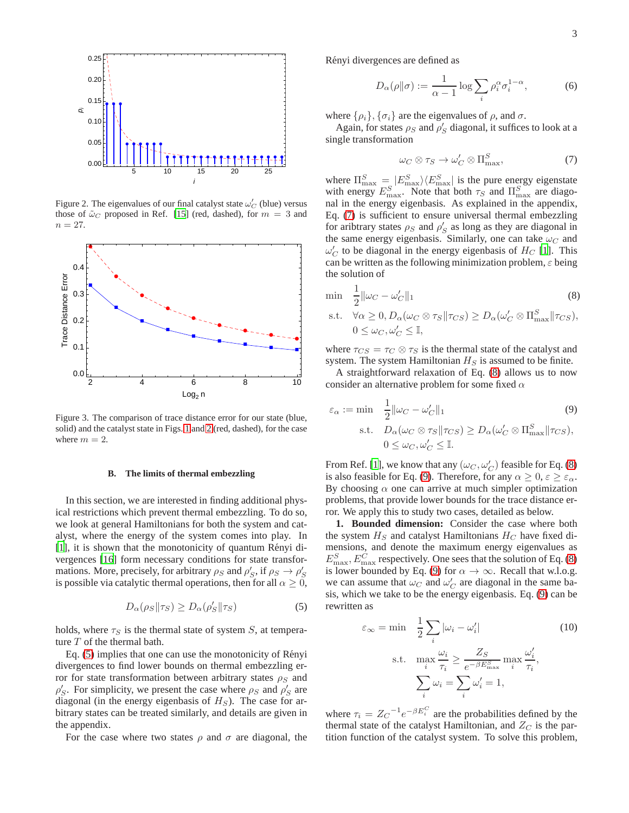

<span id="page-2-0"></span>Figure 2. The eigenvalues of our final catalyst state  $\omega'_C$  (blue) versus those of  $\tilde{\omega}_C$  proposed in Ref. [\[15\]](#page-17-10) (red, dashed), for  $m = 3$  and  $n = 27$ .



<span id="page-2-1"></span>Figure 3. The comparison of trace distance error for our state (blue, solid) and the catalyst state in Figs. [1](#page-1-1) and [2](#page-2-0) (red, dashed), for the case where  $m = 2$ .

### **B. The limits of thermal embezzling**

In this section, we are interested in finding additional physical restrictions which prevent thermal embezzling. To do so, we look at general Hamiltonians for both the system and catalyst, where the energy of the system comes into play. In [\[1](#page-17-0)], it is shown that the monotonicity of quantum Rényi divergences [\[16\]](#page-17-11) form necessary conditions for state transformations. More, precisely, for arbitrary  $\rho_S$  and  $\rho'_S$ , if  $\rho_S \to \rho'_S$ is possible via catalytic thermal operations, then for all  $\alpha \geq 0$ ,

<span id="page-2-2"></span>
$$
D_{\alpha}(\rho_S || \tau_S) \ge D_{\alpha}(\rho_S' || \tau_S)
$$
\n(5)

holds, where  $\tau_S$  is the thermal state of system S, at temperature T of the thermal bath.

Eq. [\(5\)](#page-2-2) implies that one can use the monotonicity of Rényi divergences to find lower bounds on thermal embezzling error for state transformation between arbitrary states  $\rho_S$  and  $\rho'_{S}$ . For simplicity, we present the case where  $\rho_{S}$  and  $\rho'_{S}$  are diagonal (in the energy eigenbasis of  $H<sub>S</sub>$ ). The case for arbitrary states can be treated similarly, and details are given in the appendix.

For the case where two states  $\rho$  and  $\sigma$  are diagonal, the

Rényi divergences are defined as

$$
D_{\alpha}(\rho \| \sigma) := \frac{1}{\alpha - 1} \log \sum_{i} \rho_i^{\alpha} \sigma_i^{1 - \alpha}, \tag{6}
$$

where  $\{\rho_i\}$ ,  $\{\sigma_i\}$  are the eigenvalues of  $\rho$ , and  $\sigma$ .

Again, for states  $\rho_S$  and  $\rho'_S$  diagonal, it suffices to look at a single transformation

<span id="page-2-3"></span>
$$
\omega_C \otimes \tau_S \to \omega'_C \otimes \Pi_{\text{max}}^S,\tag{7}
$$

where  $\Pi_{\max}^S = |E_{\max}^S\rangle\langle E_{\max}^S|$  is the pure energy eigenstate with energy  $E_{\text{max}}^S$ . Note that both  $\tau_S$  and  $\Pi_{\text{max}}^S$  are diagonal in the energy eigenbasis. As explained in the appendix, Eq. [\(7\)](#page-2-3) is sufficient to ensure universal thermal embezzling for aribtrary states  $\rho_S$  and  $\rho'_S$  as long as they are diagonal in the same energy eigenbasis. Similarly, one can take  $\omega_C$  and  $\omega'_C$  to be diagonal in the energy eigenbasis of  $H_C$  [\[1](#page-17-0)]. This can be written as the following minimization problem,  $\varepsilon$  being the solution of

$$
\min \quad \frac{1}{2} \|\omega_C - \omega'_C\|_1 \tag{8}
$$

s.t.  $\forall \alpha \geq 0, D_{\alpha}(\omega_C \otimes \tau_S || \tau_{CS}) \geq D_{\alpha}(\omega'_C \otimes \Pi_{\max}^S || \tau_{CS}),$  $0 \leq \omega_C, \omega'_C \leq \mathbb{I},$ 

where  $\tau_{CS} = \tau_C \otimes \tau_S$  is the thermal state of the catalyst and system. The system Hamiltonian  $H_S$  is assumed to be finite.

A straightforward relaxation of Eq. [\(8\)](#page-7-0) allows us to now consider an alternative problem for some fixed  $\alpha$ 

$$
\varepsilon_{\alpha} := \min \quad \frac{1}{2} \|\omega_C - \omega'_C\|_1 \tag{9}
$$
\n
$$
\text{s.t.} \quad D_{\alpha}(\omega_C \otimes \tau_S) \le D_{\alpha}(\omega'_C \otimes \Pi_{\text{max}}^S) \|\tau_{CS}),
$$
\n
$$
0 \le \omega_C, \omega'_C \le \mathbb{I}.
$$

From Ref. [\[1](#page-17-0)], we know that any  $(\omega_C, \omega_C')$  feasible for Eq. [\(8\)](#page-7-0) is also feasible for Eq. [\(9\)](#page-7-1). Therefore, for any  $\alpha \geq 0, \varepsilon \geq \varepsilon_{\alpha}$ . By choosing  $\alpha$  one can arrive at much simpler optimization problems, that provide lower bounds for the trace distance error. We apply this to study two cases, detailed as below.

**1. Bounded dimension:** Consider the case where both the system  $H_S$  and catalyst Hamiltonians  $H_C$  have fixed dimensions, and denote the maximum energy eigenvalues as  $E_{\text{max}}^S$ ,  $E_{\text{max}}^C$  respectively. One sees that the solution of Eq. [\(8\)](#page-7-0) is lower bounded by Eq. [\(9\)](#page-7-1) for  $\alpha \to \infty$ . Recall that w.l.o.g. we can assume that  $\omega_C$  and  $\omega_C'$  are diagonal in the same basis, which we take to be the energy eigenbasis. Eq. [\(9\)](#page-7-1) can be rewritten as

$$
\varepsilon_{\infty} = \min \quad \frac{1}{2} \sum_{i} |\omega_{i} - \omega'_{i}| \tag{10}
$$
\n
$$
\text{s.t.} \quad \max_{i} \frac{\omega_{i}}{\tau_{i}} \ge \frac{Z_{S}}{e^{-\beta E_{\text{max}}^{S}}} \max_{i} \frac{\omega'_{i}}{\tau_{i}},
$$
\n
$$
\sum_{i} \omega_{i} = \sum_{i} \omega'_{i} = 1,
$$

where  $\tau_i = Z_C^{-1} e^{-\beta E_i^C}$  are the probabilities defined by the thermal state of the catalyst Hamiltonian, and  $Z_C$  is the partition function of the catalyst system. To solve this problem,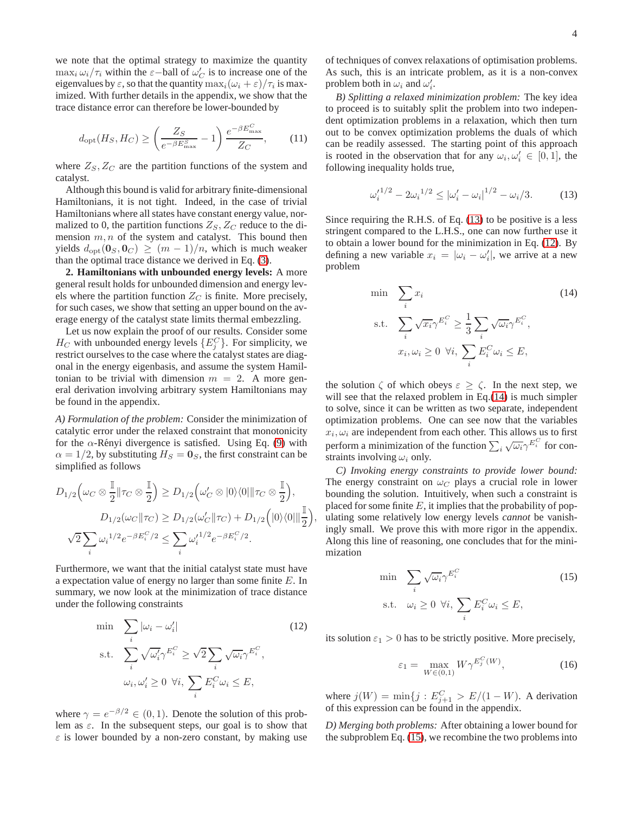we note that the optimal strategy to maximize the quantity  $\max_i \frac{\omega_i}{\tau_i}$  within the  $\varepsilon$ -ball of  $\omega'_C$  is to increase one of the eigenvalues by  $\varepsilon$ , so that the quantity  $\max_i(\omega_i + \varepsilon)/\tau_i$  is maximized. With further details in the appendix, we show that the trace distance error can therefore be lower-bounded by

$$
d_{\rm opt}(H_S, H_C) \ge \left(\frac{Z_S}{e^{-\beta E_{\rm max}^S}} - 1\right) \frac{e^{-\beta E_{\rm max}^C}}{Z_C},\tag{11}
$$

where  $Z_s, Z_c$  are the partition functions of the system and catalyst.

Although this bound is valid for arbitrary finite-dimensional Hamiltonians, it is not tight. Indeed, in the case of trivial Hamiltonians where all states have constant energy value, normalized to 0, the partition functions  $Z_S$ ,  $Z_C$  reduce to the dimension  $m, n$  of the system and catalyst. This bound then yields  $d_{\text{opt}}(\mathbf{0}_S, \mathbf{0}_C) \ge (m-1)/n$ , which is much weaker than the optimal trace distance we derived in Eq. [\(3\)](#page-1-2).

**2. Hamiltonians with unbounded energy levels:** A more general result holds for unbounded dimension and energy levels where the partition function  $Z_C$  is finite. More precisely, for such cases, we show that setting an upper bound on the average energy of the catalyst state limits thermal embezzling.

Let us now explain the proof of our results. Consider some  $H_C$  with unbounded energy levels  $\{E_j^C\}$ . For simplicity, we restrict ourselves to the case where the catalyst states are diagonal in the energy eigenbasis, and assume the system Hamiltonian to be trivial with dimension  $m = 2$ . A more general derivation involving arbitrary system Hamiltonians may be found in the appendix.

*A) Formulation of the problem:* Consider the minimization of catalytic error under the relaxed constraint that monotonicity for the  $\alpha$ -Rényi divergence is satisfied. Using Eq. [\(9\)](#page-7-1) with  $\alpha = 1/2$ , by substituting  $H_S = 0_S$ , the first constraint can be simplified as follows

$$
D_{1/2} \Big(\omega_C \otimes \frac{\mathbb{I}}{2} \| \tau_C \otimes \frac{\mathbb{I}}{2} \Big) \ge D_{1/2} \Big(\omega'_C \otimes |0\rangle\langle 0| \| \tau_C \otimes \frac{\mathbb{I}}{2} \Big),
$$
  
\n
$$
D_{1/2} (\omega_C \| \tau_C) \ge D_{1/2} (\omega'_C \| \tau_C) + D_{1/2} \Big(|0\rangle\langle 0| \| \frac{\mathbb{I}}{2} \Big),
$$
  
\n
$$
\sqrt{2} \sum_i \omega_i^{1/2} e^{-\beta E_i^C/2} \le \sum_i \omega_i'^{1/2} e^{-\beta E_i^C/2}.
$$

Furthermore, we want that the initial catalyst state must have a expectation value of energy no larger than some finite E. In summary, we now look at the minimization of trace distance under the following constraints

$$
\min_{i} \sum_{i} |\omega_{i} - \omega'_{i}|
$$
\n
$$
\text{s.t.} \sum_{i} \sqrt{\omega'_{i}} \gamma^{E_{i}^{C}} \geq \sqrt{2} \sum_{i} \sqrt{\omega_{i}} \gamma^{E_{i}^{C}},
$$
\n
$$
\omega_{i}, \omega'_{i} \geq 0 \ \forall i, \ \sum_{i} E_{i}^{C} \omega_{i} \leq E,
$$
\n
$$
(12)
$$

where  $\gamma = e^{-\beta/2} \in (0, 1)$ . Denote the solution of this problem as  $\varepsilon$ . In the subsequent steps, our goal is to show that  $\varepsilon$  is lower bounded by a non-zero constant, by making use of techniques of convex relaxations of optimisation problems. As such, this is an intricate problem, as it is a non-convex problem both in  $\omega_i$  and  $\omega'_i$ .

*B) Splitting a relaxed minimization problem:* The key idea to proceed is to suitably split the problem into two independent optimization problems in a relaxation, which then turn out to be convex optimization problems the duals of which can be readily assessed. The starting point of this approach is rooted in the observation that for any  $\omega_i, \omega'_i \in [0, 1]$ , the following inequality holds true,

$$
{\omega'_i}^{1/2} - 2{\omega_i}^{1/2} \leq {\left| \omega'_i - \omega_i \right|}^{1/2} - {\omega_i}/3. \tag{13}
$$

Since requiring the R.H.S. of Eq. [\(13\)](#page-8-0) to be positive is a less stringent compared to the L.H.S., one can now further use it to obtain a lower bound for the minimization in Eq. [\(12\)](#page-8-1). By defining a new variable  $x_i = |\omega_i - \omega'_i|$ , we arrive at a new problem

$$
\min \sum_{i} x_{i} \qquad (14)
$$
\n
$$
\text{s.t.} \quad \sum_{i} \sqrt{x_{i}} \gamma^{E_{i}^{C}} \ge \frac{1}{3} \sum_{i} \sqrt{\omega_{i}} \gamma^{E_{i}^{C}},
$$
\n
$$
x_{i}, \omega_{i} \ge 0 \ \forall i, \ \sum_{i} E_{i}^{C} \omega_{i} \le E,
$$

the solution  $\zeta$  of which obeys  $\varepsilon \geq \zeta$ . In the next step, we will see that the relaxed problem in Eq.[\(14\)](#page-8-2) is much simpler to solve, since it can be written as two separate, independent optimization problems. One can see now that the variables  $x_i, \omega_i$  are independent from each other. This allows us to first perform a minimization of the function  $\sum_i \sqrt{\omega_i} \gamma^{E_i^C}$  for constraints involving  $\omega_i$  only.

*C) Invoking energy constraints to provide lower bound:* The energy constraint on  $\omega_C$  plays a crucial role in lower bounding the solution. Intuitively, when such a constraint is placed for some finite  $E$ , it implies that the probability of populating some relatively low energy levels *cannot* be vanishingly small. We prove this with more rigor in the appendix. Along this line of reasoning, one concludes that for the minimization

$$
\min_{i} \sum_{i} \sqrt{\omega_i} \gamma^{E_i^C} \tag{15}
$$
\n
$$
\text{s.t.} \quad \omega_i \ge 0 \ \forall i, \ \sum_{i} E_i^C \omega_i \le E,
$$

its solution  $\varepsilon_1 > 0$  has to be strictly positive. More precisely,

$$
\varepsilon_1 = \max_{W \in (0,1)} W \gamma^{E_j^C(W)},\tag{16}
$$

where  $j(W) = \min\{j : E_{j+1}^C > E/(1 - W)\}\$ . A derivation of this expression can be found in the appendix.

*D) Merging both problems:* After obtaining a lower bound for the subproblem Eq. [\(15\)](#page-8-3), we recombine the two problems into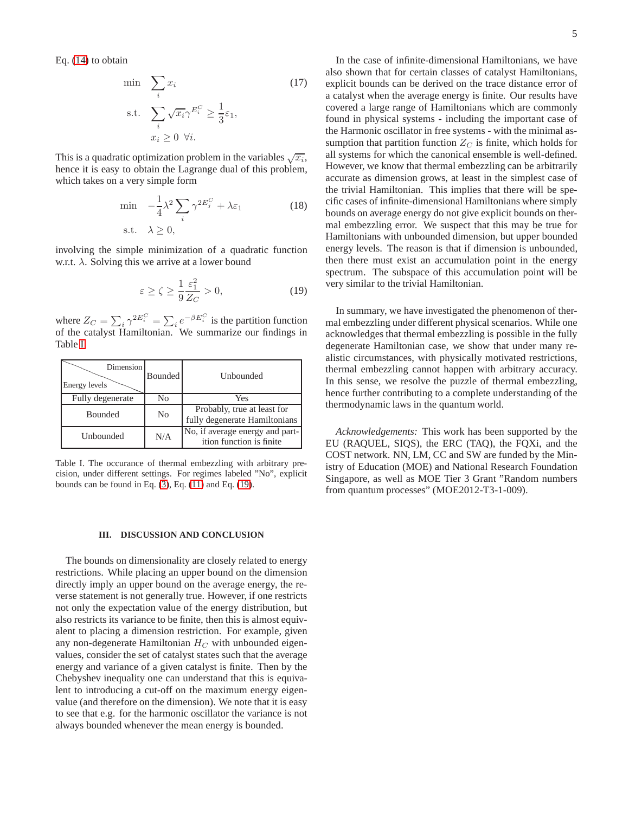Eq. [\(14\)](#page-8-2) to obtain

$$
\min_{i} \sum_{i} x_{i} \tag{17}
$$
\n
$$
\text{s.t.} \sum_{i} \sqrt{x_{i}} \gamma^{E_{i}^{C}} \ge \frac{1}{3} \varepsilon_{1},
$$
\n
$$
x_{i} \ge 0 \ \forall i.
$$

This is a quadratic optimization problem in the variables  $\sqrt{x_i}$ , hence it is easy to obtain the Lagrange dual of this problem, which takes on a very simple form

$$
\min -\frac{1}{4}\lambda^2 \sum_{i} \gamma^{2E_j^C} + \lambda \varepsilon_1
$$
\n
$$
\text{s.t.} \quad \lambda \ge 0,
$$
\n
$$
(18)
$$

involving the simple minimization of a quadratic function w.r.t.  $\lambda$ . Solving this we arrive at a lower bound

$$
\varepsilon \ge \zeta \ge \frac{1}{9} \frac{\varepsilon_1^2}{Z_C} > 0,\tag{19}
$$

where  $Z_C = \sum_i \gamma^{2E_i^C} = \sum_i e^{-\beta E_i^C}$  is the partition function of the catalyst Hamiltonian. We summarize our findings in Table [I.](#page-4-0)

| Dimension<br>Energy levels | Bounded | Unbounded                                                    |
|----------------------------|---------|--------------------------------------------------------------|
| Fully degenerate           | No      | Yes                                                          |
| <b>Bounded</b>             | No      | Probably, true at least for<br>fully degenerate Hamiltonians |
| Unbounded                  | N/A     | No, if average energy and part-<br>ition function is finite  |

<span id="page-4-0"></span>Table I. The occurance of thermal embezzling with arbitrary precision, under different settings. For regimes labeled "No", explicit bounds can be found in Eq.  $(3)$ , Eq.  $(11)$  and Eq.  $(19)$ .

## **III. DISCUSSION AND CONCLUSION**

The bounds on dimensionality are closely related to energy restrictions. While placing an upper bound on the dimension directly imply an upper bound on the average energy, the reverse statement is not generally true. However, if one restricts not only the expectation value of the energy distribution, but also restricts its variance to be finite, then this is almost equivalent to placing a dimension restriction. For example, given any non-degenerate Hamiltonian  $H_C$  with unbounded eigenvalues, consider the set of catalyst states such that the average energy and variance of a given catalyst is finite. Then by the Chebyshev inequality one can understand that this is equivalent to introducing a cut-off on the maximum energy eigenvalue (and therefore on the dimension). We note that it is easy to see that e.g. for the harmonic oscillator the variance is not always bounded whenever the mean energy is bounded.

In the case of infinite-dimensional Hamiltonians, we have also shown that for certain classes of catalyst Hamiltonians, explicit bounds can be derived on the trace distance error of a catalyst when the average energy is finite. Our results have covered a large range of Hamiltonians which are commonly found in physical systems - including the important case of the Harmonic oscillator in free systems - with the minimal assumption that partition function  $Z_C$  is finite, which holds for all systems for which the canonical ensemble is well-defined. However, we know that thermal embezzling can be arbitrarily accurate as dimension grows, at least in the simplest case of the trivial Hamiltonian. This implies that there will be specific cases of infinite-dimensional Hamiltonians where simply bounds on average energy do not give explicit bounds on thermal embezzling error. We suspect that this may be true for Hamiltonians with unbounded dimension, but upper bounded energy levels. The reason is that if dimension is unbounded, then there must exist an accumulation point in the energy spectrum. The subspace of this accumulation point will be very similar to the trivial Hamiltonian.

In summary, we have investigated the phenomenon of thermal embezzling under different physical scenarios. While one acknowledges that thermal embezzling is possible in the fully degenerate Hamiltonian case, we show that under many realistic circumstances, with physically motivated restrictions, thermal embezzling cannot happen with arbitrary accuracy. In this sense, we resolve the puzzle of thermal embezzling, hence further contributing to a complete understanding of the thermodynamic laws in the quantum world.

*Acknowledgements:* This work has been supported by the EU (RAQUEL, SIQS), the ERC (TAQ), the FQXi, and the COST network. NN, LM, CC and SW are funded by the Ministry of Education (MOE) and National Research Foundation Singapore, as well as MOE Tier 3 Grant "Random numbers from quantum processes" (MOE2012-T3-1-009).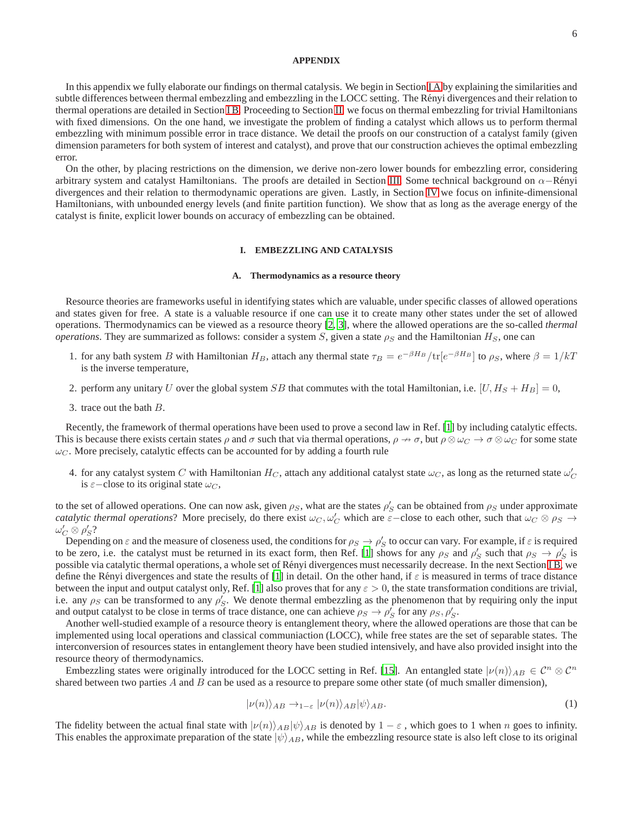## **APPENDIX**

In this appendix we fully elaborate our findings on thermal catalysis. We begin in Section [I A](#page-5-0) by explaining the similarities and subtle differences between thermal embezzling and embezzling in the LOCC setting. The Rényi divergences and their relation to thermal operations are detailed in Section [I B.](#page-6-0) Proceeding to Section [II,](#page-7-2) we focus on thermal embezzling for trivial Hamiltonians with fixed dimensions. On the one hand, we investigate the problem of finding a catalyst which allows us to perform thermal embezzling with minimum possible error in trace distance. We detail the proofs on our construction of a catalyst family (given dimension parameters for both system of interest and catalyst), and prove that our construction achieves the optimal embezzling error.

On the other, by placing restrictions on the dimension, we derive non-zero lower bounds for embezzling error, considering arbitrary system and catalyst Hamiltonians. The proofs are detailed in Section [III.](#page-11-0) Some technical background on  $\alpha$ –Rényi divergences and their relation to thermodynamic operations are given. Lastly, in Section [IV](#page-14-0) we focus on infinite-dimensional Hamiltonians, with unbounded energy levels (and finite partition function). We show that as long as the average energy of the catalyst is finite, explicit lower bounds on accuracy of embezzling can be obtained.

# **I. EMBEZZLING AND CATALYSIS**

## <span id="page-5-0"></span>**A. Thermodynamics as a resource theory**

Resource theories are frameworks useful in identifying states which are valuable, under specific classes of allowed operations and states given for free. A state is a valuable resource if one can use it to create many other states under the set of allowed operations. Thermodynamics can be viewed as a resource theory [\[2](#page-17-2), [3\]](#page-17-3), where the allowed operations are the so-called *thermal operations*. They are summarized as follows: consider a system S, given a state  $\rho_S$  and the Hamiltonian  $H_S$ , one can

- 1. for any bath system B with Hamiltonian  $H_B$ , attach any thermal state  $\tau_B = e^{-\beta H_B}/\text{tr}[e^{-\beta H_B}]$  to  $\rho_S$ , where  $\beta = 1/kT$ is the inverse temperature,
- 2. perform any unitary U over the global system SB that commutes with the total Hamiltonian, i.e.  $[U, H_S + H_B] = 0$ ,
- 3. trace out the bath B.

Recently, the framework of thermal operations have been used to prove a second law in Ref. [\[1](#page-17-0)] by including catalytic effects. This is because there exists certain states  $\rho$  and  $\sigma$  such that via thermal operations,  $\rho \to \sigma$ , but  $\rho \otimes \omega_C \to \sigma \otimes \omega_C$  for some state  $\omega_C$ . More precisely, catalytic effects can be accounted for by adding a fourth rule

4. for any catalyst system C with Hamiltonian  $H_C$ , attach any additional catalyst state  $\omega_C$ , as long as the returned state  $\omega_C'$ is  $\varepsilon$ −close to its original state  $\omega_C$ ,

to the set of allowed operations. One can now ask, given  $\rho_S$ , what are the states  $\rho'_S$  can be obtained from  $\rho_S$  under approximate *catalytic thermal operations*? More precisely, do there exist  $\omega_C$ ,  $\omega'_C$  which are  $\varepsilon$ -close to each other, such that  $\omega_C \otimes \rho_S \to$  $\omega_C' \otimes \rho_S'$  ?

Depending on  $\varepsilon$  and the measure of closeness used, the conditions for  $\rho_S \to \rho_S'$  to occur can vary. For example, if  $\varepsilon$  is required to be zero, i.e. the catalyst must be returned in its exact form, then Ref. [\[1](#page-17-0)] shows for any  $\rho_S$  and  $\rho_S'$  such that  $\rho_S \to \rho_S'$  is possible via catalytic thermal operations, a whole set of Rényi divergences must necessarily decrease. In the next Section [I B,](#page-6-0) we define the Rényi divergences and state the results of [\[1\]](#page-17-0) in detail. On the other hand, if  $\varepsilon$  is measured in terms of trace distance between the input and output catalyst only, Ref. [\[1\]](#page-17-0) also proves that for any  $\varepsilon > 0$ , the state transformation conditions are trivial, i.e. any  $\rho_S$  can be transformed to any  $\rho_S'$ . We denote thermal embezzling as the phenomenon that by requiring only the input and output catalyst to be close in terms of trace distance, one can achieve  $\rho_S \to \rho'_S$  for any  $\rho_S, \rho'_S$ .

Another well-studied example of a resource theory is entanglement theory, where the allowed operations are those that can be implemented using local operations and classical communiaction (LOCC), while free states are the set of separable states. The interconversion of resources states in entanglement theory have been studied intensively, and have also provided insight into the resource theory of thermodynamics.

Embezzling states were originally introduced for the LOCC setting in Ref. [\[15\]](#page-17-10). An entangled state  $|\nu(n)\rangle_{AB} \in \mathcal{C}^n \otimes \mathcal{C}^n$ shared between two parties  $A$  and  $B$  can be used as a resource to prepare some other state (of much smaller dimension),

$$
|\nu(n)\rangle_{AB} \to_{1-\varepsilon} |\nu(n)\rangle_{AB} |\psi\rangle_{AB}.\tag{1}
$$

The fidelity between the actual final state with  $|\nu(n)\rangle_{AB}|\psi\rangle_{AB}$  is denoted by  $1 - \varepsilon$ , which goes to 1 when n goes to infinity. This enables the approximate preparation of the state  $|\psi\rangle_{AB}$ , while the embezzling resource state is also left close to its original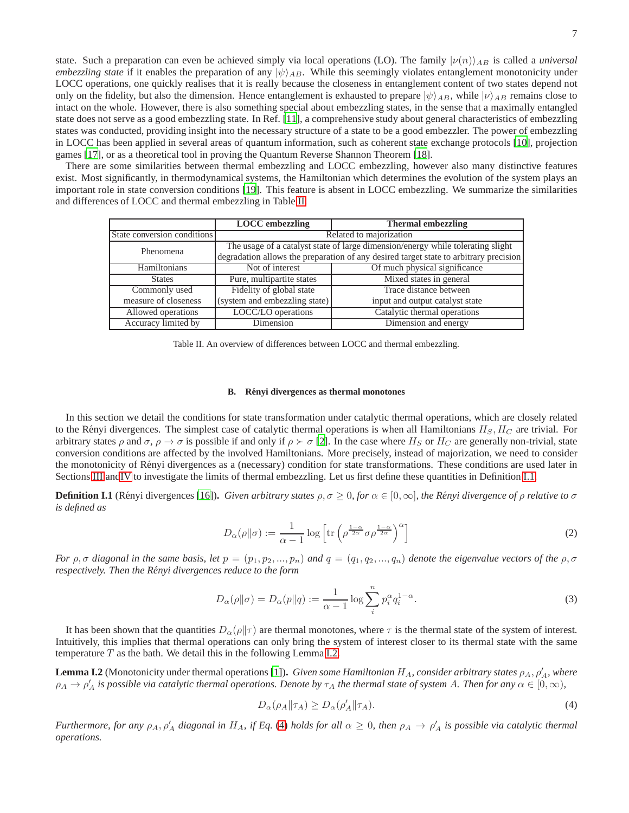state. Such a preparation can even be achieved simply via local operations (LO). The family  $|\nu(n)\rangle_{AB}$  is called a *universal embezzling state* if it enables the preparation of any  $|\psi\rangle_{AB}$ . While this seemingly violates entanglement monotonicity under LOCC operations, one quickly realises that it is really because the closeness in entanglement content of two states depend not only on the fidelity, but also the dimension. Hence entanglement is exhausted to prepare  $|\psi\rangle_{AB}$ , while  $|\nu\rangle_{AB}$  remains close to intact on the whole. However, there is also something special about embezzling states, in the sense that a maximally entangled state does not serve as a good embezzling state. In Ref. [\[11\]](#page-17-7), a comprehensive study about general characteristics of embezzling states was conducted, providing insight into the necessary structure of a state to be a good embezzler. The power of embezzling in LOCC has been applied in several areas of quantum information, such as coherent state exchange protocols [\[10\]](#page-17-12), projection games [\[17](#page-17-13)], or as a theoretical tool in proving the Quantum Reverse Shannon Theorem [\[18\]](#page-17-14).

There are some similarities between thermal embezzling and LOCC embezzling, however also many distinctive features exist. Most significantly, in thermodynamical systems, the Hamiltonian which determines the evolution of the system plays an important role in state conversion conditions [\[19](#page-17-15)]. This feature is absent in LOCC embezzling. We summarize the similarities and differences of LOCC and thermal embezzling in Table [II.](#page-6-1)

|                             | <b>LOCC</b> embezzling                                                                | <b>Thermal embezzling</b>       |  |
|-----------------------------|---------------------------------------------------------------------------------------|---------------------------------|--|
| State conversion conditions | Related to majorization                                                               |                                 |  |
| Phenomena                   | The usage of a catalyst state of large dimension/energy while tolerating slight       |                                 |  |
|                             | degradation allows the preparation of any desired target state to arbitrary precision |                                 |  |
| Hamiltonians                | Not of interest                                                                       | Of much physical significance   |  |
| <b>States</b>               | Pure, multipartite states                                                             | Mixed states in general         |  |
| Commonly used               | Fidelity of global state                                                              | Trace distance between          |  |
| measure of closeness        | (system and embezzling state)                                                         | input and output catalyst state |  |
| Allowed operations          | LOCC/LO operations                                                                    | Catalytic thermal operations    |  |
| Accuracy limited by         | Dimension                                                                             | Dimension and energy            |  |

<span id="page-6-1"></span>Table II. An overview of differences between LOCC and thermal embezzling.

#### <span id="page-6-0"></span>**B. Renyi divergences as thermal monotones ´**

In this section we detail the conditions for state transformation under catalytic thermal operations, which are closely related to the Rényi divergences. The simplest case of catalytic thermal operations is when all Hamiltonians  $H_S, H_C$  are trivial. For arbitrary states  $\rho$  and  $\sigma$ ,  $\rho \to \sigma$  is possible if and only if  $\rho \succ \sigma$  [\[2\]](#page-17-2). In the case where  $H_S$  or  $H_C$  are generally non-trivial, state conversion conditions are affected by the involved Hamiltonians. More precisely, instead of majorization, we need to consider the monotonicity of R´enyi divergences as a (necessary) condition for state transformations. These conditions are used later in Sections [III](#page-11-0) an[dIV](#page-14-0) to investigate the limits of thermal embezzling. Let us first define these quantities in Definition [I.1.](#page-6-2)

<span id="page-6-2"></span>**Definition I.1** (Rényi divergences [\[16\]](#page-17-11)). *Given arbitrary states*  $\rho, \sigma \geq 0$ *, for*  $\alpha \in [0, \infty]$ *, the Rényi divergence of*  $\rho$  *relative to*  $\sigma$ *is defined as*

$$
D_{\alpha}(\rho \|\sigma) := \frac{1}{\alpha - 1} \log \left[ \text{tr} \left( \rho^{\frac{1 - \alpha}{2\alpha}} \sigma \rho^{\frac{1 - \alpha}{2\alpha}} \right)^{\alpha} \right]
$$
 (2)

*For*  $\rho$ ,  $\sigma$  *diagonal in the same basis, let*  $p = (p_1, p_2, ..., p_n)$  *and*  $q = (q_1, q_2, ..., q_n)$  *denote the eigenvalue vectors of the*  $\rho$ ,  $\sigma$ *respectively. Then the Renyi divergences reduce to the form ´*

$$
D_{\alpha}(\rho \| \sigma) = D_{\alpha}(p \| q) := \frac{1}{\alpha - 1} \log \sum_{i}^{n} p_i^{\alpha} q_i^{1 - \alpha}.
$$
\n(3)

It has been shown that the quantities  $D_{\alpha}(\rho||\tau)$  are thermal monotones, where  $\tau$  is the thermal state of the system of interest. Intuitively, this implies that thermal operations can only bring the system of interest closer to its thermal state with the same temperature  $T$  as the bath. We detail this in the following Lemma [I.2.](#page-6-3)

<span id="page-6-3"></span>**Lemma I.2** (Monotonicity under thermal operations [\[1\]](#page-17-0)). *Given some Hamiltonian H<sub>A</sub>, consider arbitrary states*  $\rho_A$ ,  $\rho'_A$ , where  $\rho_A \to \rho'_A$  is possible via catalytic thermal operations. Denote by  $\tau_A$  the thermal state of system A. Then for any  $\alpha \in [0,\infty)$ ,

<span id="page-6-4"></span>
$$
D_{\alpha}(\rho_A \| \tau_A) \ge D_{\alpha}(\rho'_A \| \tau_A). \tag{4}
$$

*Furthermore, for any*  $\rho_A$ ,  $\rho'_A$  diagonal in  $H_A$ , if Eq. [\(4\)](#page-6-4) holds for all  $\alpha \geq 0$ , then  $\rho_A \to \rho'_A$  is possible via catalytic thermal *operations.*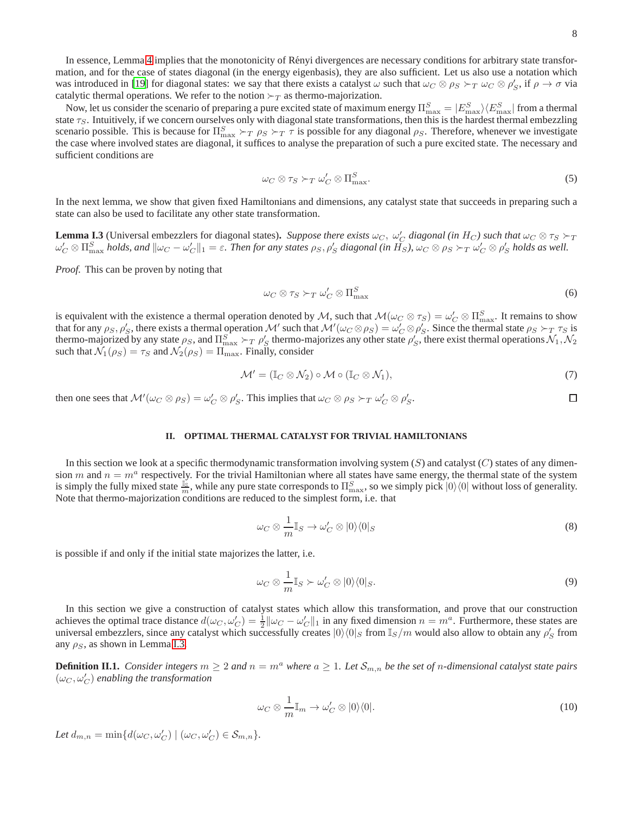口

In essence, Lemma [4](#page-6-4) implies that the monotonicity of Rényi divergences are necessary conditions for arbitrary state transformation, and for the case of states diagonal (in the energy eigenbasis), they are also sufficient. Let us also use a notation which was introduced in [\[19](#page-17-15)] for diagonal states: we say that there exists a catalyst  $\omega$  such that  $\omega_C \otimes \rho_S >_T \omega_C \otimes \rho_S'$ , if  $\rho \to \sigma$  via catalytic thermal operations. We refer to the notion  $\succ_T$  as thermo-majorization.

Now, let us consider the scenario of preparing a pure excited state of maximum energy  $\Pi_{\max}^S = |E_{\max}^S\rangle\langle E_{\max}^S|$  from a thermal state  $\tau_S$ . Intuitively, if we concern ourselves only with diagonal state transformations, then this is the hardest thermal embezzling scenario possible. This is because for  $\Pi_{\text{max}}^S \succ_T \rho_S \succ_T \tau$  is possible for any diagonal  $\rho_S$ . Therefore, whenever we investigate the case where involved states are diagonal, it suffices to analyse the preparation of such a pure excited state. The necessary and sufficient conditions are

$$
\omega_C \otimes \tau_S \succ_T \omega'_C \otimes \Pi^S_{\text{max}}.\tag{5}
$$

In the next lemma, we show that given fixed Hamiltonians and dimensions, any catalyst state that succeeds in preparing such a state can also be used to facilitate any other state transformation.

<span id="page-7-3"></span>**Lemma I.3** (Universal embezzlers for diagonal states). Suppose there exists  $\omega_C$ ,  $\omega'_C$  diagonal (in H<sub>C</sub>) such that  $\omega_C \otimes \tau_S > T$  $\omega_C'\otimes \Pi_{\max}^S$  *holds, and*  $\|\omega_C-\omega_C'\|_1=\varepsilon$ *. Then for any states*  $\rho_S,\rho_S'$  *diagonal (in*  $\tilde{H_S}$ *),*  $\omega_C\otimes \rho_S \succ_T \omega_C'\otimes \rho_S'$  *<i>holds as well.* 

*Proof.* This can be proven by noting that

$$
\omega_C \otimes \tau_S \succ_T \omega'_C \otimes \Pi_{\max}^S \tag{6}
$$

is equivalent with the existence a thermal operation denoted by M, such that  $\mathcal{M}(\omega_C \otimes \tau_S) = \omega'_C \otimes \Pi_{\max}^S$ . It remains to show that for any  $\rho_S$ ,  $\rho'_S$ , there exists a thermal operation M' such that  $\mathcal{M}'(\omega_C \otimes \rho_S) = \omega'_C \otimes \rho'_S$ . Since the thermal state  $\rho_S \succ_T \tau_S$  is thermo-majorized by any state  $\rho_S$ , and  $\Pi_{\max}^S \succ_T \rho_S'$  thermo-majorizes any other state  $\rho_S'$ , there exist thermal operations  $\mathcal{N}_1, \mathcal{N}_2$ such that  $\mathcal{N}_1(\rho_S) = \tau_S$  and  $\mathcal{N}_2(\rho_S) = \Pi_{\text{max}}$ . Finally, consider

$$
\mathcal{M}' = (\mathbb{I}_C \otimes \mathcal{N}_2) \circ \mathcal{M} \circ (\mathbb{I}_C \otimes \mathcal{N}_1), \tag{7}
$$

then one sees that  $\mathcal{M}'(\omega_C \otimes \rho_S) = \omega'_C \otimes \rho'_S$ . This implies that  $\omega_C \otimes \rho_S \succ_T \omega'_C \otimes \rho'_S$ .

# <span id="page-7-2"></span>**II. OPTIMAL THERMAL CATALYST FOR TRIVIAL HAMILTONIANS**

In this section we look at a specific thermodynamic transformation involving system  $(S)$  and catalyst  $(C)$  states of any dimension m and  $n = m<sup>a</sup>$  respectively. For the trivial Hamiltonian where all states have same energy, the thermal state of the system is simply the fully mixed state  $\frac{1}{m}$ , while any pure state corresponds to  $\Pi_{\max}^S$ , so we simply pick  $|0\rangle\langle 0|$  without loss of generality. Note that thermo-majorization conditions are reduced to the simplest form, i.e. that

<span id="page-7-0"></span>
$$
\omega_C \otimes \frac{1}{m} \mathbb{I}_S \to \omega'_C \otimes |0\rangle\langle 0|_S \tag{8}
$$

is possible if and only if the initial state majorizes the latter, i.e.

<span id="page-7-1"></span>
$$
\omega_C \otimes \frac{1}{m} \mathbb{I}_S \succ \omega'_C \otimes |0\rangle\langle 0|_S. \tag{9}
$$

In this section we give a construction of catalyst states which allow this transformation, and prove that our construction achieves the optimal trace distance  $d(\omega_C, \omega_C') = \frac{1}{2} ||\omega_C - \omega_C'||_1$  in any fixed dimension  $n = m^a$ . Furthermore, these states are universal embezzlers, since any catalyst which successfully creates  $|0\rangle\langle 0|_S$  from  $\mathbb{I}_S/m$  would also allow to obtain any  $\rho'_S$  from any  $\rho_S$ , as shown in Lemma [I.3.](#page-7-3)

**Definition II.1.** *Consider integers*  $m \geq 2$  *and*  $n = m^a$  *where*  $a \geq 1$ *. Let*  $S_{m,n}$  *be the set of n*-dimensional catalyst state pairs  $(\omega_C, \omega_C')$  enabling the transformation

<span id="page-7-4"></span>
$$
\omega_C \otimes \frac{1}{m} \mathbb{I}_m \to \omega'_C \otimes |0\rangle\langle 0|.
$$
 (10)

Let  $d_{m,n} = \min\{d(\omega_C, \omega_C') | (\omega_C, \omega_C') \in S_{m,n}\}.$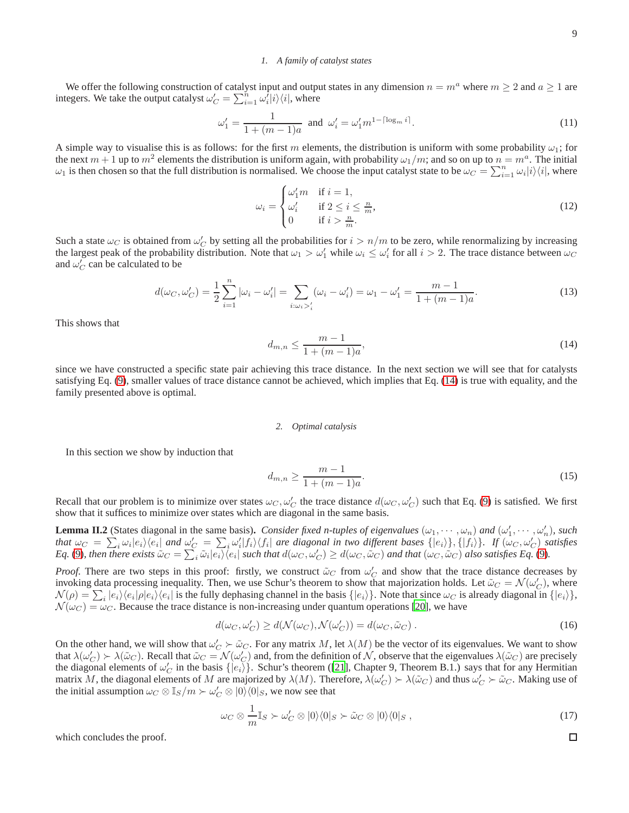# <span id="page-8-6"></span>*1. A family of catalyst states*

We offer the following construction of catalyst input and output states in any dimension  $n = m^a$  where  $m \ge 2$  and  $a \ge 1$  are integers. We take the output catalyst  $\omega'_C = \sum_{i=1}^{\tilde{n}} \omega'_i |i\rangle\langle i|$ , where

<span id="page-8-4"></span>
$$
\omega_1' = \frac{1}{1 + (m - 1)a} \text{ and } \omega_i' = \omega_1' m^{1 - \lceil \log_m i \rceil}.
$$
 (11)

A simple way to visualise this is as follows: for the first m elements, the distribution is uniform with some probability  $\omega_1$ ; for the next  $m+1$  up to  $m^2$  elements the distribution is uniform again, with probability  $\omega_1/m$ ; and so on up to  $n=m^a$ . The initial  $\omega_1$  is then chosen so that the full distribution is normalised. We choose the input catalyst state to be  $\omega_C = \sum_{i=1}^n \omega_i |i\rangle\langle i|$ , where

<span id="page-8-1"></span>
$$
\omega_i = \begin{cases}\n\omega'_1 m & \text{if } i = 1, \\
\omega'_i & \text{if } 2 \le i \le \frac{n}{m}, \\
0 & \text{if } i > \frac{n}{m}.\n\end{cases}
$$
\n(12)

Such a state  $\omega_C$  is obtained from  $\omega'_C$  by setting all the probabilities for  $i > n/m$  to be zero, while renormalizing by increasing the largest peak of the probability distribution. Note that  $\omega_1 > \omega'_1$  while  $\omega_i \le \omega'_i$  for all  $i > 2$ . The trace distance between  $\omega_C$ and  $\omega_C'$  can be calculated to be

<span id="page-8-0"></span>
$$
d(\omega_C, \omega'_C) = \frac{1}{2} \sum_{i=1}^n |\omega_i - \omega'_i| = \sum_{i:\omega_i >'_i} (\omega_i - \omega'_i) = \omega_1 - \omega'_1 = \frac{m-1}{1+(m-1)a}.
$$
 (13)

This shows that

<span id="page-8-2"></span>
$$
d_{m,n} \le \frac{m-1}{1+(m-1)a},\tag{14}
$$

since we have constructed a specific state pair achieving this trace distance. In the next section we will see that for catalysts satisfying Eq. [\(9\)](#page-7-1), smaller values of trace distance cannot be achieved, which implies that Eq. [\(14\)](#page-8-2) is true with equality, and the family presented above is optimal.

#### *2. Optimal catalysis*

In this section we show by induction that

<span id="page-8-3"></span>
$$
d_{m,n} \ge \frac{m-1}{1+(m-1)a}.\tag{15}
$$

Recall that our problem is to minimize over states  $\omega_C, \omega_C'$  the trace distance  $d(\omega_C, \omega_C')$  such that Eq. [\(9\)](#page-7-1) is satisfied. We first show that it suffices to minimize over states which are diagonal in the same basis.

<span id="page-8-5"></span>**Lemma II.2** (States diagonal in the same basis). *Consider fixed n-tuples of eigenvalues*  $(\omega_1, \dots, \omega_n)$  *and*  $(\omega'_1, \dots, \omega'_n)$ *, such that*  $\omega_C = \sum_i \omega_i |e_i\rangle\langle e_i|$  and  $\omega'_C = \sum_i \omega'_i |f_i\rangle\langle f_i|$  are diagonal in two different bases  $\{|e_i\rangle\}$ ,  $\{|f_i\rangle\}$ . If  $(\omega_C, \omega'_C)$  satisfies *Eq.* [\(9\)](#page-7-1), then there exists  $\tilde{\omega}_C = \sum_i \tilde{\omega}_i |e_i\rangle\langle e_i|$  such that  $d(\omega_C, \omega_C') \ge d(\omega_C, \tilde{\omega}_C)$  and that  $(\omega_C, \tilde{\omega}_C)$  also satisfies Eq. (9).

*Proof.* There are two steps in this proof: firstly, we construct  $\tilde{\omega}_C$  from  $\omega'_C$  and show that the trace distance decreases by invoking data processing inequality. Then, we use Schur's theorem to show that majorization holds. Let  $\tilde{\omega}_C = \mathcal{N}(\omega'_C)$ , where  $\mathcal{N}(\rho) = \sum_i |e_i\rangle\langle e_i|\rho|e_i\rangle\langle e_i|$  is the fully dephasing channel in the basis  $\{|e_i\rangle\}$ . Note that since  $\omega_C$  is already diagonal in  $\{|e_i\rangle\}$ ,  $\mathcal{N}(\omega_C) = \omega_C$ . Because the trace distance is non-increasing under quantum operations [\[20\]](#page-17-16), we have

$$
d(\omega_C, \omega_C') \ge d(\mathcal{N}(\omega_C), \mathcal{N}(\omega_C')) = d(\omega_C, \tilde{\omega}_C).
$$
\n(16)

On the other hand, we will show that  $\omega'_C \succ \tilde{\omega}_C$ . For any matrix M, let  $\lambda(M)$  be the vector of its eigenvalues. We want to show that  $\lambda(\omega'_C) \succ \lambda(\tilde{\omega}_C)$ . Recall that  $\tilde{\omega}_C = \mathcal{N}(\omega'_C)$  and, from the definition of N, observe that the eigenvalues  $\lambda(\tilde{\omega}_C)$  are precisely the diagonal elements of  $\omega'_C$  in the basis  $\{|e_i\rangle\}$ . Schur's theorem ([\[21\]](#page-17-17), Chapter 9, Theorem B.1.) says that for any Hermitian matrix M, the diagonal elements of M are majorized by  $\lambda(M)$ . Therefore,  $\lambda(\omega'_C) > \lambda(\tilde{\omega}_C)$  and thus  $\omega'_C > \tilde{\omega}_C$ . Making use of the initial assumption  $\omega_C \otimes \mathbb{I}_S/m \succ \omega'_C \otimes |0\rangle\langle 0|_S$ , we now see that

$$
\omega_C \otimes \frac{1}{m} \mathbb{I}_S \succ \omega'_C \otimes |0\rangle\langle 0|_S \succ \tilde{\omega}_C \otimes |0\rangle\langle 0|_S , \qquad (17)
$$

which concludes the proof.

9

 $\Box$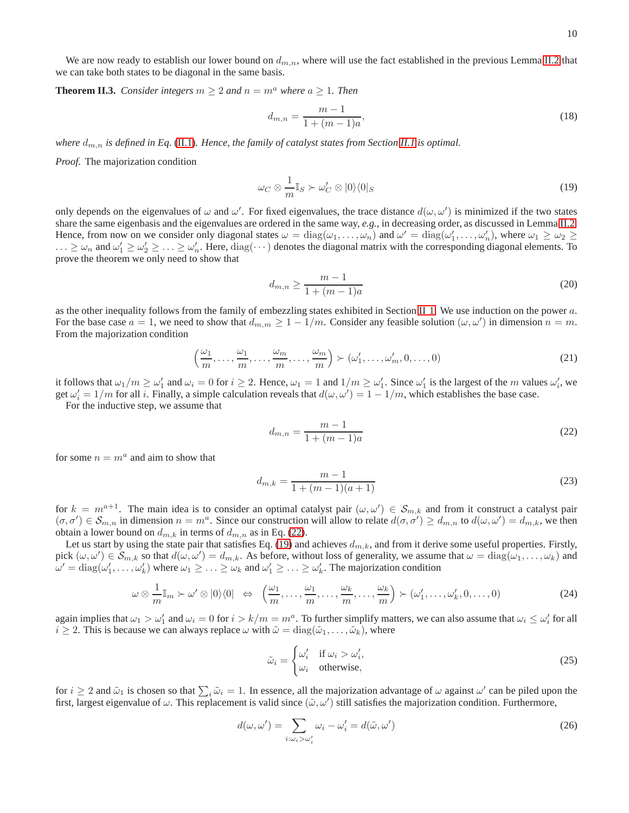We are now ready to establish our lower bound on  $d_{m,n}$ , where will use the fact established in the previous Lemma [II.2](#page-8-5) that we can take both states to be diagonal in the same basis.

**Theorem II.3.** *Consider integers*  $m \geq 2$  *and*  $n = m^a$  *where*  $a \geq 1$ *. Then* 

$$
d_{m,n} = \frac{m-1}{1 + (m-1)a},\tag{18}
$$

*where*  $d_{m,n}$  *is defined in Eq.* [\(II.1\)](#page-7-4). Hence, the family of catalyst states from Section [II.1](#page-7-4) is optimal.

*Proof.* The majorization condition

<span id="page-9-0"></span>
$$
\omega_C \otimes \frac{1}{m} \mathbb{I}_S \succ \omega'_C \otimes |0\rangle\langle 0|_S \tag{19}
$$

only depends on the eigenvalues of  $\omega$  and  $\omega'$ . For fixed eigenvalues, the trace distance  $d(\omega, \omega')$  is minimized if the two states share the same eigenbasis and the eigenvalues are ordered in the same way, *e.g.*, in decreasing order, as discussed in Lemma [II.2.](#page-8-5) Hence, from now on we consider only diagonal states  $\omega = \text{diag}(\omega_1, \dots, \omega_n)$  and  $\omega' = \text{diag}(\omega'_1, \dots, \omega'_n)$ , where  $\omega_1 \geq \omega_2 \geq \omega'_1$  $\ldots \ge \omega_n$  and  $\omega'_1 \ge \omega'_2 \ge \ldots \ge \omega'_n$ . Here,  $diag(\cdots)$  denotes the diagonal matrix with the corresponding diagonal elements. To prove the theorem we only need to show that

$$
d_{m,n} \ge \frac{m-1}{1 + (m-1)a} \tag{20}
$$

as the other inequality follows from the family of embezzling states exhibited in Section [II 1.](#page-8-6) We use induction on the power a. For the base case  $a = 1$ , we need to show that  $d_{m,m} \ge 1 - 1/m$ . Consider any feasible solution  $(\omega, \omega')$  in dimension  $n = m$ . From the majorization condition

$$
\left(\frac{\omega_1}{m}, \dots, \frac{\omega_1}{m}, \dots, \frac{\omega_m}{m}, \dots, \frac{\omega_m}{m}\right) \succ (\omega'_1, \dots, \omega'_m, 0, \dots, 0)
$$
\n(21)

it follows that  $\omega_1/m \ge \omega'_1$  and  $\omega_i = 0$  for  $i \ge 2$ . Hence,  $\omega_1 = 1$  and  $1/m \ge \omega'_1$ . Since  $\omega'_1$  is the largest of the m values  $\omega'_i$ , we get  $\omega'_i = 1/m$  for all i. Finally, a simple calculation reveals that  $d(\omega, \omega') = 1 - 1/m$ , which establishes the base case.

For the inductive step, we assume that

<span id="page-9-1"></span>
$$
d_{m,n} = \frac{m-1}{1 + (m-1)a} \tag{22}
$$

for some  $n = m<sup>a</sup>$  and aim to show that

$$
d_{m,k} = \frac{m-1}{1 + (m-1)(a+1)}
$$
\n(23)

for  $k = m^{a+1}$ . The main idea is to consider an optimal catalyst pair  $(\omega, \omega') \in S_{m,k}$  and from it construct a catalyst pair  $(\sigma, \sigma') \in S_{m,n}$  in dimension  $n = m^a$ . Since our construction will allow to relate  $d(\sigma, \sigma') \ge d_{m,n}$  to  $d(\omega, \omega') = d_{m,k}$ , we then obtain a lower bound on  $d_{m,k}$  in terms of  $d_{m,n}$  as in Eq. [\(22\)](#page-9-1).

Let us start by using the state pair that satisfies Eq. [\(19\)](#page-9-0) and achieves  $d_{m,k}$ , and from it derive some useful properties. Firstly, pick  $(\omega, \omega') \in S_{m,k}$  so that  $d(\omega, \omega') = d_{m,k}$ . As before, without loss of generality, we assume that  $\omega = \text{diag}(\omega_1, \dots, \omega_k)$  and  $\omega' = \text{diag}(\omega'_1, \dots, \omega'_k)$  where  $\omega_1 \geq \dots \geq \omega_k$  and  $\omega'_1 \geq \dots \geq \omega'_k$ . The majorization condition

<span id="page-9-2"></span>
$$
\omega \otimes \frac{1}{m} \mathbb{I}_m \succ \omega' \otimes |0\rangle\langle 0| \iff \left(\frac{\omega_1}{m}, \dots, \frac{\omega_1}{m}, \dots, \frac{\omega_k}{m}, \dots, \frac{\omega_k}{m}\right) \succ (\omega'_1, \dots, \omega'_k, 0, \dots, 0)
$$
\n(24)

again implies that  $\omega_1 > \omega'_1$  and  $\omega_i = 0$  for  $i > k/m = m^a$ . To further simplify matters, we can also assume that  $\omega_i \leq \omega'_i$  for all  $i \geq 2$ . This is because we can always replace  $\omega$  with  $\tilde{\omega} = \text{diag}(\tilde{\omega}_1, \dots, \tilde{\omega}_k)$ , where

$$
\tilde{\omega}_i = \begin{cases}\n\omega_i' & \text{if } \omega_i > \omega_i', \\
\omega_i & \text{otherwise,} \n\end{cases}
$$
\n(25)

for  $i \ge 2$  and  $\tilde{\omega}_1$  is chosen so that  $\sum_i \tilde{\omega}_i = 1$ . In essence, all the majorization advantage of  $\omega$  against  $\omega'$  can be piled upon the first, largest eigenvalue of  $\omega$ . This replacement is valid since  $(\tilde{\omega}, \omega')$  still satisfies the majorization condition. Furthermore,

$$
d(\omega, \omega') = \sum_{i:\omega_i > \omega'_i} \omega_i - \omega'_i = d(\tilde{\omega}, \omega')
$$
 (26)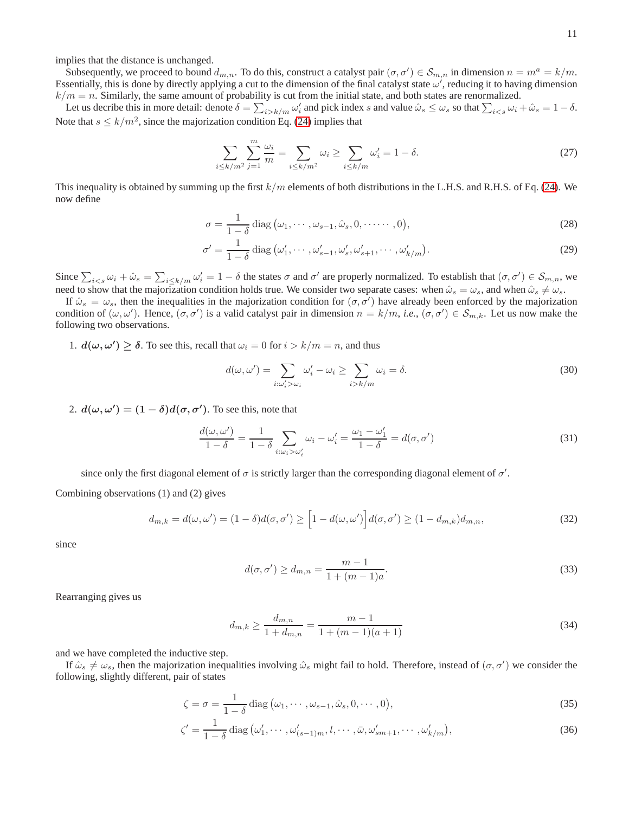implies that the distance is unchanged.

Subsequently, we proceed to bound  $d_{m,n}$ . To do this, construct a catalyst pair  $(\sigma, \sigma') \in S_{m,n}$  in dimension  $n = m^a = k/m$ . Essentially, this is done by directly applying a cut to the dimension of the final catalyst state  $\omega'$ , reducing it to having dimension  $k/m = n$ . Similarly, the same amount of probability is cut from the initial state, and both states are renormalized.

Let us decribe this in more detail: denote  $\delta = \sum_{i > k/m} \omega'_i$  and pick index s and value  $\hat{\omega}_s \le \omega_s$  so that  $\sum_{i < s} \omega_i + \hat{\omega}_s = 1 - \delta$ . Note that  $s \leq k/m^2$ , since the majorization condition Eq. [\(24\)](#page-9-2) implies that

$$
\sum_{i \le k/m^2} \sum_{j=1}^m \frac{\omega_i}{m} = \sum_{i \le k/m^2} \omega_i \ge \sum_{i \le k/m} \omega'_i = 1 - \delta. \tag{27}
$$

This inequality is obtained by summing up the first  $k/m$  elements of both distributions in the L.H.S. and R.H.S. of Eq. [\(24\)](#page-9-2). We now define

$$
\sigma = \frac{1}{1-\delta} \operatorname{diag}(\omega_1, \cdots, \omega_{s-1}, \hat{\omega}_s, 0, \cdots \cdots, 0),
$$
\n(28)

$$
\sigma' = \frac{1}{1-\delta} \operatorname{diag}(\omega'_1, \cdots, \omega'_{s-1}, \omega'_s, \omega'_{s+1}, \cdots, \omega'_{k/m}).
$$
\n(29)

Since  $\sum_{i\leq s}\omega_i+\hat{\omega}_s=\sum_{i\leq k/m}\omega_i'=1-\delta$  the states  $\sigma$  and  $\sigma'$  are properly normalized. To establish that  $(\sigma,\sigma')\in\mathcal{S}_{m,n}$ , we need to show that the majorization condition holds true. We consider two separate cases: when  $\hat{\omega}_s = \omega_s$ , and when  $\hat{\omega}_s \neq \omega_s$ .

If  $\hat{\omega}_s = \omega_s$ , then the inequalities in the majorization condition for  $(\sigma, \sigma')$  have already been enforced by the majorization condition of  $(\omega, \omega')$ . Hence,  $(\sigma, \sigma')$  is a valid catalyst pair in dimension  $n = k/m$ , *i.e.*,  $(\sigma, \sigma') \in S_{m,k}$ . Let us now make the following two observations.

1.  $d(\omega, \omega') \ge \delta$ . To see this, recall that  $\omega_i = 0$  for  $i > k/m = n$ , and thus

$$
d(\omega, \omega') = \sum_{i:\omega'_i > \omega_i} \omega'_i - \omega_i \ge \sum_{i > k/m} \omega_i = \delta.
$$
 (30)

2.  $d(\omega, \omega') = (1 - \delta) d(\sigma, \sigma')$ . To see this, note that

<span id="page-10-0"></span>
$$
\frac{d(\omega, \omega')}{1 - \delta} = \frac{1}{1 - \delta} \sum_{i: \omega_i > \omega'_i} \omega_i - \omega'_i = \frac{\omega_1 - \omega'_1}{1 - \delta} = d(\sigma, \sigma')
$$
(31)

since only the first diagonal element of  $\sigma$  is strictly larger than the corresponding diagonal element of  $\sigma'$ .

Combining observations (1) and (2) gives

$$
d_{m,k} = d(\omega, \omega') = (1 - \delta)d(\sigma, \sigma') \ge \left[1 - d(\omega, \omega')\right]d(\sigma, \sigma') \ge (1 - d_{m,k})d_{m,n},\tag{32}
$$

since

$$
d(\sigma, \sigma') \ge d_{m,n} = \frac{m-1}{1 + (m-1)a}.
$$
\n(33)

Rearranging gives us

$$
d_{m,k} \ge \frac{d_{m,n}}{1 + d_{m,n}} = \frac{m-1}{1 + (m-1)(a+1)}
$$
\n(34)

and we have completed the inductive step.

If  $\hat{\omega}_s \neq \omega_s$ , then the majorization inequalities involving  $\hat{\omega}_s$  might fail to hold. Therefore, instead of  $(\sigma, \sigma')$  we consider the following, slightly different, pair of states

$$
\zeta = \sigma = \frac{1}{1 - \delta} \operatorname{diag}(\omega_1, \cdots, \omega_{s-1}, \hat{\omega}_s, 0, \cdots, 0),\tag{35}
$$

$$
\zeta' = \frac{1}{1-\delta} \operatorname{diag}(\omega'_1, \cdots, \omega'_{(s-1)m}, l, \cdots, \bar{\omega}, \omega'_{sm+1}, \cdots, \omega'_{k/m}),\tag{36}
$$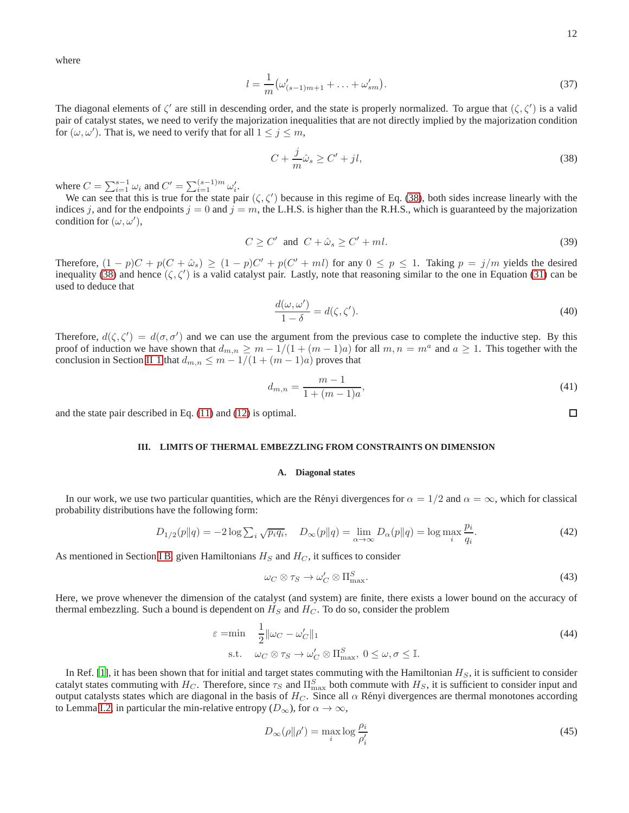where

$$
l = \frac{1}{m} \left( \omega'_{(s-1)m+1} + \ldots + \omega'_{sm} \right). \tag{37}
$$

The diagonal elements of  $\zeta'$  are still in descending order, and the state is properly normalized. To argue that  $(\zeta, \zeta')$  is a valid pair of catalyst states, we need to verify the majorization inequalities that are not directly implied by the majorization condition for  $(\omega, \omega')$ . That is, we need to verify that for all  $1 \le j \le m$ ,

<span id="page-11-1"></span>
$$
C + \frac{j}{m}\hat{\omega}_s \ge C' + j l,\tag{38}
$$

where  $C = \sum_{i=1}^{s-1} \omega_i$  and  $C' = \sum_{i=1}^{(s-1)m} \omega'_i$ .

We can see that this is true for the state pair  $(\zeta, \zeta')$  because in this regime of Eq. [\(38\)](#page-11-1), both sides increase linearly with the indices j, and for the endpoints  $j = 0$  and  $j = m$ , the L.H.S. is higher than the R.H.S., which is guaranteed by the majorization condition for  $(\omega, \omega')$ ,

$$
C \ge C' \quad \text{and} \quad C + \hat{\omega}_s \ge C' + ml. \tag{39}
$$

Therefore,  $(1-p)C + p(C + \hat{\omega}_s) \ge (1-p)C' + p(C' + ml)$  for any  $0 \le p \le 1$ . Taking  $p = j/m$  yields the desired inequality [\(38\)](#page-11-1) and hence  $(\zeta, \zeta')$  is a valid catalyst pair. Lastly, note that reasoning similar to the one in Equation [\(31\)](#page-10-0) can be used to deduce that

$$
\frac{d(\omega, \omega')}{1 - \delta} = d(\zeta, \zeta'). \tag{40}
$$

Therefore,  $d(\zeta, \zeta') = d(\sigma, \sigma')$  and we can use the argument from the previous case to complete the inductive step. By this proof of induction we have shown that  $d_{m,n} \geq m - 1/(1 + (m-1)a)$  for all  $m, n = m^a$  and  $a \geq 1$ . This together with the conclusion in Section [II 1](#page-8-6) that  $d_{m,n} \leq m - 1/(1 + (m - 1)a)$  proves that

$$
d_{m,n} = \frac{m-1}{1 + (m-1)a},\tag{41}
$$

and the state pair described in Eq. [\(11\)](#page-8-4) and [\(12\)](#page-8-1) is optimal.

# <span id="page-11-0"></span>**III. LIMITS OF THERMAL EMBEZZLING FROM CONSTRAINTS ON DIMENSION**

## <span id="page-11-4"></span>**A. Diagonal states**

In our work, we use two particular quantities, which are the Rényi divergences for  $\alpha = 1/2$  and  $\alpha = \infty$ , which for classical probability distributions have the following form:

<span id="page-11-3"></span>
$$
D_{1/2}(p||q) = -2\log \sum_{i} \sqrt{p_i q_i}, \quad D_{\infty}(p||q) = \lim_{\alpha \to \infty} D_{\alpha}(p||q) = \log \max_{i} \frac{p_i}{q_i}.
$$
 (42)

As mentioned in Section [I B,](#page-6-0) given Hamiltonians  $H_S$  and  $H_C$ , it suffices to consider

$$
\omega_C \otimes \tau_S \to \omega'_C \otimes \Pi_{\text{max}}^S. \tag{43}
$$

Here, we prove whenever the dimension of the catalyst (and system) are finite, there exists a lower bound on the accuracy of thermal embezzling. Such a bound is dependent on  $H_S$  and  $H_C$ . To do so, consider the problem

<span id="page-11-2"></span>
$$
\varepsilon = \min \quad \frac{1}{2} \|\omega_C - \omega'_C\|_1
$$
\n
$$
\text{s.t.} \quad \omega_C \otimes \tau_S \to \omega'_C \otimes \Pi^S_{\text{max}}, \ 0 \le \omega, \sigma \le \mathbb{I}. \tag{44}
$$

In Ref. [\[1](#page-17-0)], it has been shown that for initial and target states commuting with the Hamiltonian  $H<sub>S</sub>$ , it is sufficient to consider catalyt states commuting with  $H_C$ . Therefore, since  $\tau_S$  and  $\Pi_{\max}^S$  both commute with  $H_S$ , it is sufficient to consider input and output catalysts states which are diagonal in the basis of  $H_C$ . Since all  $\alpha$  Rényi divergences are thermal monotones according to Lemma [I.2,](#page-6-3) in particular the min-relative entropy  $(D_{\infty})$ , for  $\alpha \to \infty$ ,

$$
D_{\infty}(\rho \|\rho') = \max_{i} \log \frac{\rho_i}{\rho'_i}
$$
\n(45)

 $\Box$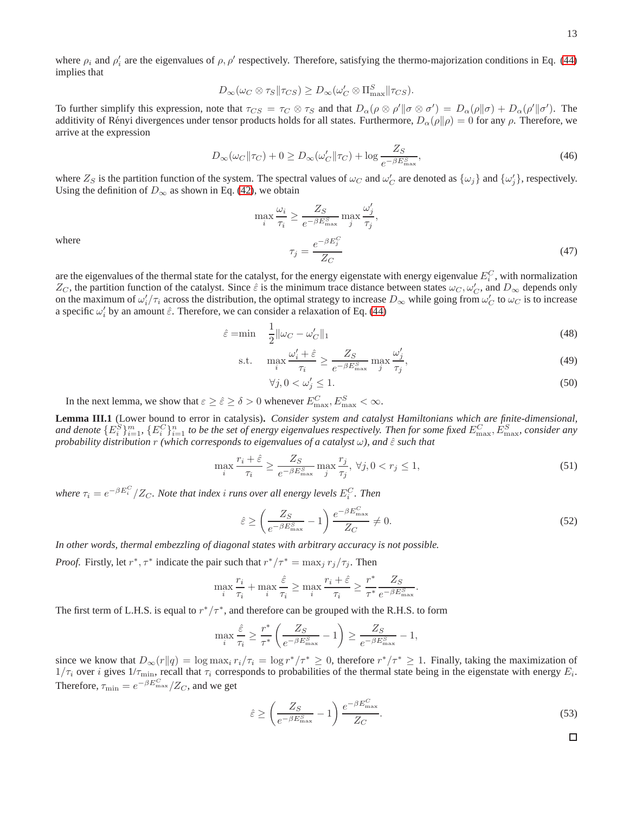where  $\rho_i$  and  $\rho'_i$  are the eigenvalues of  $\rho$ ,  $\rho'$  respectively. Therefore, satisfying the thermo-majorization conditions in Eq. [\(44\)](#page-11-2) implies that

$$
D_{\infty}(\omega_C \otimes \tau_S || \tau_{CS}) \geq D_{\infty}(\omega'_C \otimes \Pi_{\max}^S || \tau_{CS}).
$$

To further simplify this expression, note that  $\tau_{CS} = \tau_C \otimes \tau_S$  and that  $D_\alpha(\rho \otimes \rho' \| \sigma \otimes \sigma') = D_\alpha(\rho \| \sigma) + D_\alpha(\rho' \| \sigma')$ . The additivity of Rényi divergences under tensor products holds for all states. Furthermore,  $D_{\alpha}(\rho||\rho) = 0$  for any  $\rho$ . Therefore, we arrive at the expression

<span id="page-12-0"></span>
$$
D_{\infty}(\omega_C || \tau_C) + 0 \ge D_{\infty}(\omega_C' || \tau_C) + \log \frac{Z_S}{e^{-\beta E_{\text{max}}^S}},\tag{46}
$$

where  $Z_S$  is the partition function of the system. The spectral values of  $\omega_C$  and  $\omega'_C$  are denoted as  $\{\omega_j\}$  and  $\{\omega'_j\}$ , respectively. Using the definition of  $D_{\infty}$  as shown in Eq. [\(42\)](#page-11-3), we obtain

$$
\max_{i} \frac{\omega_i}{\tau_i} \ge \frac{Z_S}{e^{-\beta E_{\text{max}}^S}} \max_{j} \frac{\omega'_j}{\tau_j},
$$

$$
\tau_j = \frac{e^{-\beta E_j^C}}{Z_C} \tag{47}
$$

where

are the eigenvalues of the thermal state for the catalyst, for the energy eigenstate with energy eigenvalue  $E_i^C$ , with normalization  $Z_C$ , the partition function of the catalyst. Since  $\hat{\varepsilon}$  is the minimum trace distance between states  $\omega_C, \omega'_C$ , and  $D_\infty$  depends only on the maximum of  $\omega'_i/\tau_i$  across the distribution, the optimal strategy to increase  $D_\infty$  while going from  $\omega'_C$  to  $\omega_C$  is to increase a specific  $\omega_i'$  by an amount  $\hat{\varepsilon}$ . Therefore, we can consider a relaxation of Eq. [\(44\)](#page-11-2)

$$
\hat{\varepsilon} = \min \quad \frac{1}{2} \|\omega_C - \omega'_C\|_1 \tag{48}
$$

$$
\text{s.t.} \quad \max_{i} \frac{\omega_i' + \hat{\varepsilon}}{\tau_i} \ge \frac{Z_S}{e^{-\beta E_{\text{max}}^S}} \max_{j} \frac{\omega_j'}{\tau_j},\tag{49}
$$

$$
\forall j, 0 < \omega_j' \le 1. \tag{50}
$$

In the next lemma, we show that  $\varepsilon \ge \hat{\varepsilon} \ge \delta > 0$  whenever  $E_{\text{max}}^C, E_{\text{max}}^S < \infty$ .

<span id="page-12-1"></span>**Lemma III.1** (Lower bound to error in catalysis)**.** *Consider system and catalyst Hamiltonians which are finite-dimensional,* and denote  $\{E^S_i\}_{i=1}^m$ ,  $\{E^C_i\}_{i=1}^n$  to be the set of energy eigenvalues respectively. Then for some fixed  $E^C_{\max}$ ,  $E^S_{\max}$ , consider any *probability distribution* r *(which corresponds to eigenvalues of a catalyst*  $\omega$ *), and*  $\hat{\epsilon}$  *such that* 

$$
\max_{i} \frac{r_i + \hat{\varepsilon}}{\tau_i} \ge \frac{Z_S}{e^{-\beta E_{\text{max}}^S}} \max_{j} \frac{r_j}{\tau_j}, \ \forall j, 0 < r_j \le 1,\tag{51}
$$

where  $\tau_i = e^{-\beta E^C_i}/Z_C$ . Note that index  $i$  *runs over all energy levels*  $E^C_i$ . Then

$$
\hat{\varepsilon} \ge \left(\frac{Z_S}{e^{-\beta E_{\text{max}}^S}} - 1\right) \frac{e^{-\beta E_{\text{max}}^C}}{Z_C} \ne 0. \tag{52}
$$

*In other words, thermal embezzling of diagonal states with arbitrary accuracy is not possible.*

*Proof.* Firstly, let  $r^*$ ,  $\tau^*$  indicate the pair such that  $r^*/\tau^* = \max_j r_j/\tau_j$ . Then

$$
\max_i \frac{r_i}{\tau_i} + \max_i \frac{\hat{\varepsilon}}{\tau_i} \geq \max_i \frac{r_i + \hat{\varepsilon}}{\tau_i} \geq \frac{r^*}{\tau^*} \frac{Z_S}{e^{-\beta E^S_{\text{max}}}}.
$$

The first term of L.H.S. is equal to  $r^*/\tau^*$ , and therefore can be grouped with the R.H.S. to form

$$
\max_{i} \frac{\hat{\varepsilon}}{\tau_i} \ge \frac{r^*}{\tau^*} \left( \frac{Z_S}{e^{-\beta E_{\text{max}}^S}} - 1 \right) \ge \frac{Z_S}{e^{-\beta E_{\text{max}}^S}} - 1,
$$

since we know that  $D_{\infty}(r||q) = \log \max_i r_i/\tau_i = \log r^*/\tau^* \ge 0$ , therefore  $r^*/\tau^* \ge 1$ . Finally, taking the maximization of  $1/\tau_i$  over i gives  $1/\tau_{\min}$ , recall that  $\tau_i$  corresponds to probabilities of the thermal state being in the eigenstate with energy  $E_i$ . Therefore,  $\tau_{\min} = e^{-\beta E_{\max}^C}/Z_C$ , and we get

$$
\hat{\varepsilon} \ge \left(\frac{Z_S}{e^{-\beta E_{\text{max}}^S}} - 1\right) \frac{e^{-\beta E_{\text{max}}^C}}{Z_C}.\tag{53}
$$

 $\Box$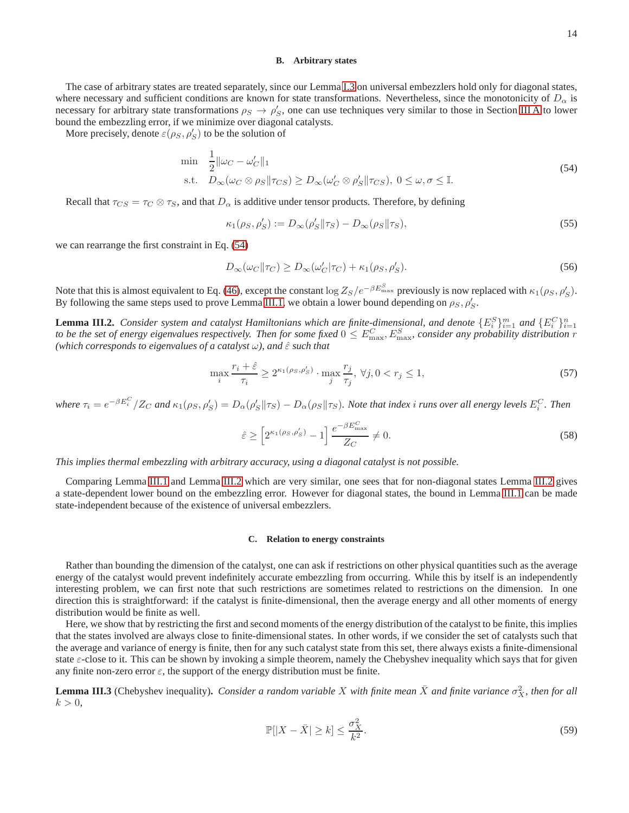### <span id="page-13-3"></span>**B. Arbitrary states**

The case of arbitrary states are treated separately, since our Lemma [I.3](#page-7-3) on universal embezzlers hold only for diagonal states, where necessary and sufficient conditions are known for state transformations. Nevertheless, since the monotonicity of  $D_{\alpha}$  is necessary for arbitrary state transformations  $\rho_S \to \rho'_S$ , one can use techniques very similar to those in Section [III A](#page-11-4) to lower bound the embezzling error, if we minimize over diagonal catalysts.

More precisely, denote  $\varepsilon(\rho_S, \rho_S')$  to be the solution of

<span id="page-13-0"></span>
$$
\min \quad \frac{1}{2} \|\omega_C - \omega'_C\|_1
$$
\n
$$
\text{s.t.} \quad D_{\infty}(\omega_C \otimes \rho_S \|\tau_{CS}) \ge D_{\infty}(\omega'_C \otimes \rho'_S \|\tau_{CS}), \ 0 \le \omega, \sigma \le \mathbb{I}. \tag{54}
$$

Recall that  $\tau_{CS} = \tau_C \otimes \tau_S$ , and that  $D_\alpha$  is additive under tensor products. Therefore, by defining

$$
\kappa_1(\rho_S, \rho_S') := D_{\infty}(\rho_S' || \tau_S) - D_{\infty}(\rho_S || \tau_S), \tag{55}
$$

we can rearrange the first constraint in Eq. [\(54\)](#page-13-0)

$$
D_{\infty}(\omega_C || \tau_C) \ge D_{\infty}(\omega_C' | \tau_C) + \kappa_1(\rho_S, \rho_S').
$$
\n(56)

Note that this is almost equivalent to Eq. [\(46\)](#page-12-0), except the constant  $\log Z_S/e^{-\beta E_{\text{max}}^S}$  previously is now replaced with  $\kappa_1(\rho_S, \rho_S')$ . By following the same steps used to prove Lemma [III.1,](#page-12-1) we obtain a lower bound depending on  $\rho_S$ ,  $\rho'_S$ .

<span id="page-13-1"></span>**Lemma III.2.** Consider system and catalyst Hamiltonians which are finite-dimensional, and denote  $\{E_i^S\}_{i=1}^m$  and  $\{E_i^C\}_{i=1}^n$  and  $\{E_i^C\}_{i=1}^n$  and  $\{E_i^C\}_{i=1}^n$  and  $\{E_i^C\}_{i=1}^n$  and  $\{E_i^C\}_{i=1}^n$  a *(which corresponds to eigenvalues of a catalyst*  $\omega$ *), and*  $\hat{\epsilon}$  *such that* 

$$
\max_{i} \frac{r_i + \hat{\varepsilon}}{\tau_i} \ge 2^{\kappa_1(\rho_S, \rho_S')} \cdot \max_{j} \frac{r_j}{\tau_j}, \ \forall j, 0 < r_j \le 1,\tag{57}
$$

 $\omega$  where  $\tau_i = e^{-\beta E_i^C}/Z_C$  and  $\kappa_1(\rho_S, \rho_S') = D_\alpha(\rho_S' || \tau_S) - D_\alpha(\rho_S || \tau_S)$ . Note that index i runs over all energy levels  $E_i^C$ . Then

$$
\hat{\varepsilon} \ge \left[2^{\kappa_1(\rho_S,\rho_S')} - 1\right] \frac{e^{-\beta E_{\text{max}}^C}}{Z_C} \ne 0. \tag{58}
$$

*This implies thermal embezzling with arbitrary accuracy, using a diagonal catalyst is not possible.*

Comparing Lemma [III.1](#page-12-1) and Lemma [III.2](#page-13-1) which are very similar, one sees that for non-diagonal states Lemma [III.2](#page-13-1) gives a state-dependent lower bound on the embezzling error. However for diagonal states, the bound in Lemma [III.1](#page-12-1) can be made state-independent because of the existence of universal embezzlers.

## **C. Relation to energy constraints**

Rather than bounding the dimension of the catalyst, one can ask if restrictions on other physical quantities such as the average energy of the catalyst would prevent indefinitely accurate embezzling from occurring. While this by itself is an independently interesting problem, we can first note that such restrictions are sometimes related to restrictions on the dimension. In one direction this is straightforward: if the catalyst is finite-dimensional, then the average energy and all other moments of energy distribution would be finite as well.

Here, we show that by restricting the first and second moments of the energy distribution of the catalyst to be finite, this implies that the states involved are always close to finite-dimensional states. In other words, if we consider the set of catalysts such that the average and variance of energy is finite, then for any such catalyst state from this set, there always exists a finite-dimensional state  $\varepsilon$ -close to it. This can be shown by invoking a simple theorem, namely the Chebyshev inequality which says that for given any finite non-zero error  $\varepsilon$ , the support of the energy distribution must be finite.

<span id="page-13-2"></span>**Lemma III.3** (Chebyshev inequality). *Consider a random variable X with finite mean*  $\bar{X}$  *and finite variance*  $\sigma_X^2$ *, then for all*  $k > 0$ ,

$$
\mathbb{P}[|X - \bar{X}| \ge k] \le \frac{\sigma_X^2}{k^2}.\tag{59}
$$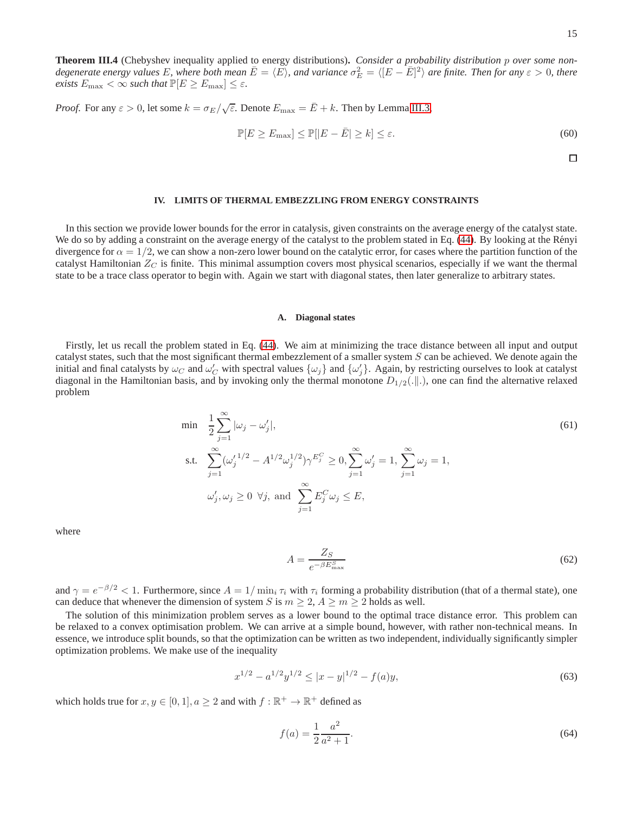$\Box$ 

**Theorem III.4** (Chebyshev inequality applied to energy distributions)**.** *Consider a probability distribution* p *over some non*degenerate energy values E, where both mean  $\bar{E} = \langle E \rangle$ , and variance  $\sigma_E^2 = \langle [E - \bar{E}]^2 \rangle$  are finite. Then for any  $\varepsilon > 0$ , there *exists*  $E_{\text{max}} < \infty$  *such that*  $\mathbb{P}[E \ge E_{\text{max}}] \le \varepsilon$ *.* 

*Proof.* For any  $\varepsilon > 0$ , let some  $k = \frac{\sigma_E}{\sqrt{\varepsilon}}$ . Denote  $E_{\text{max}} = \overline{E} + k$ . Then by Lemma [III.3,](#page-13-2)

$$
\mathbb{P}[E \ge E_{\text{max}}] \le \mathbb{P}[|E - \bar{E}| \ge k] \le \varepsilon. \tag{60}
$$

#### <span id="page-14-0"></span>**IV. LIMITS OF THERMAL EMBEZZLING FROM ENERGY CONSTRAINTS**

In this section we provide lower bounds for the error in catalysis, given constraints on the average energy of the catalyst state. We do so by adding a constraint on the average energy of the catalyst to the problem stated in Eq. [\(44\)](#page-11-2). By looking at the Rényi divergence for  $\alpha = 1/2$ , we can show a non-zero lower bound on the catalytic error, for cases where the partition function of the catalyst Hamiltonian  $Z_C$  is finite. This minimal assumption covers most physical scenarios, especially if we want the thermal state to be a trace class operator to begin with. Again we start with diagonal states, then later generalize to arbitrary states.

### <span id="page-14-3"></span>**A. Diagonal states**

Firstly, let us recall the problem stated in Eq. [\(44\)](#page-11-2). We aim at minimizing the trace distance between all input and output catalyst states, such that the most significant thermal embezzlement of a smaller system S can be achieved. We denote again the initial and final catalysts by  $\omega_C$  and  $\omega_C'$  with spectral values  $\{\omega_j\}$  and  $\{\omega'_j\}$ . Again, by restricting ourselves to look at catalyst diagonal in the Hamiltonian basis, and by invoking only the thermal monotone  $D_{1/2}(\ldots|\ldots)$ , one can find the alternative relaxed problem

<span id="page-14-1"></span>
$$
\min \quad \frac{1}{2} \sum_{j=1}^{\infty} |\omega_j - \omega'_j|, \n\text{s.t.} \quad \sum_{j=1}^{\infty} (\omega'_j^{1/2} - A^{1/2} \omega_j^{1/2}) \gamma^{E_j^C} \ge 0, \sum_{j=1}^{\infty} \omega'_j = 1, \sum_{j=1}^{\infty} \omega_j = 1, \n\omega'_j, \omega_j \ge 0 \ \forall j, \text{ and } \sum_{j=1}^{\infty} E_j^C \omega_j \le E,
$$
\n(61)

where

<span id="page-14-4"></span>
$$
A = \frac{Z_S}{e^{-\beta E_{\text{max}}^S}}\tag{62}
$$

and  $\gamma = e^{-\beta/2} < 1$ . Furthermore, since  $A = 1/\min_i \tau_i$  with  $\tau_i$  forming a probability distribution (that of a thermal state), one can deduce that whenever the dimension of system S is  $m \geq 2$ ,  $A \geq m \geq 2$  holds as well.

The solution of this minimization problem serves as a lower bound to the optimal trace distance error. This problem can be relaxed to a convex optimisation problem. We can arrive at a simple bound, however, with rather non-technical means. In essence, we introduce split bounds, so that the optimization can be written as two independent, individually significantly simpler optimization problems. We make use of the inequality

$$
x^{1/2} - a^{1/2}y^{1/2} \le |x - y|^{1/2} - f(a)y,\tag{63}
$$

which holds true for  $x, y \in [0, 1], a \ge 2$  and with  $f : \mathbb{R}^+ \to \mathbb{R}^+$  defined as

<span id="page-14-2"></span>
$$
f(a) = \frac{1}{2} \frac{a^2}{a^2 + 1}.
$$
\n(64)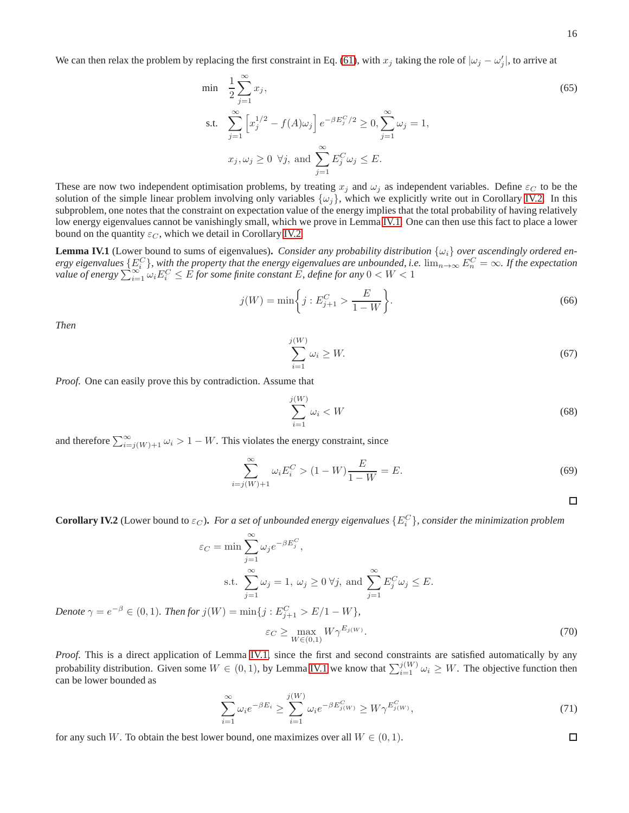$$
\min \quad \frac{1}{2} \sum_{j=1}^{\infty} x_j,
$$
\n
$$
\text{s.t.} \quad \sum_{j=1}^{\infty} \left[ x_j^{1/2} - f(A)\omega_j \right] e^{-\beta E_j^C/2} \ge 0, \sum_{j=1}^{\infty} \omega_j = 1,
$$
\n
$$
x_j, \omega_j \ge 0 \ \forall j, \text{ and } \sum_{j=1}^{\infty} E_j^C \omega_j \le E.
$$
\n
$$
(65)
$$

These are now two independent optimisation problems, by treating  $x_j$  and  $\omega_j$  as independent variables. Define  $\varepsilon_C$  to be the solution of the simple linear problem involving only variables  $\{\omega_i\}$ , which we explicitly write out in Corollary [IV.2.](#page-15-0) In this subproblem, one notes that the constraint on expectation value of the energy implies that the total probability of having relatively low energy eigenvalues cannot be vanishingly small, which we prove in Lemma [IV.1.](#page-15-1) One can then use this fact to place a lower bound on the quantity  $\varepsilon_C$ , which we detail in Corollary [IV.2.](#page-15-0)

<span id="page-15-1"></span>**Lemma IV.1** (Lower bound to sums of eigenvalues). *Consider any probability distribution*  $\{\omega_i\}$  *over ascendingly ordered energy eigenvalues*  $\{E_i^C\}$ , with the property that the energy eigenvalues are unbounded, i.e.  $\lim_{n\to\infty} E_n^C = \infty$ . If the expectation *value of energy*  $\sum_{i=1}^{\infty} \omega_i E_i^C \leq \hat{E}$  for some finite constant  $\hat{E}$ , define for any  $0 < W < 1$ 

$$
j(W) = \min\bigg\{j : E_{j+1}^C > \frac{E}{1 - W}\bigg\}.
$$
\n(66)

*Then*

*Denote*  $\gamma = e^{-}$ 

$$
\sum_{i=1}^{j(W)} \omega_i \ge W. \tag{67}
$$

*Proof.* One can easily prove this by contradiction. Assume that

$$
\sum_{i=1}^{j(W)} \omega_i < W \tag{68}
$$

and therefore  $\sum_{i=j(W)+1}^{\infty} \omega_i > 1 - W$ . This violates the energy constraint, since

$$
\sum_{i=j(W)+1}^{\infty} \omega_i E_i^C > (1 - W) \frac{E}{1 - W} = E.
$$
\n(69)

 $\Box$ 

 $\Box$ 

<span id="page-15-0"></span>**Corollary IV.2** (Lower bound to  $\varepsilon_C$ ). For a set of unbounded energy eigenvalues  $\{E_i^C\}$ , consider the minimization problem

$$
\varepsilon_C = \min \sum_{j=1}^{\infty} \omega_j e^{-\beta E_j^C},
$$
  
s.t. 
$$
\sum_{j=1}^{\infty} \omega_j = 1, \ \omega_j \ge 0 \ \forall j, \text{ and } \sum_{j=1}^{\infty} E_j^C \omega_j \le E.
$$

$$
-\beta \in (0, 1). \ Then \text{for } j(W) = \min\{j : E_{j+1}^C > E/1 - W\},
$$

$$
\varepsilon_C \ge \max_{W \in (0, 1)} W \gamma^{E_j(W)}.
$$
(70)

*Proof.* This is a direct application of Lemma [IV.1,](#page-15-1) since the first and second constraints are satisfied automatically by any probability distribution. Given some  $W \in (0, 1)$ , by Lemma [IV.1](#page-15-1) we know that  $\sum_{i=1}^{j(W)} \omega_i \geq W$ . The objective function then can be lower bounded as

$$
\sum_{i=1}^{\infty} \omega_i e^{-\beta E_i} \ge \sum_{i=1}^{j(W)} \omega_i e^{-\beta E_{j(W)}^C} \ge W \gamma^{E_{j(W)}^C},\tag{71}
$$

for any such W. To obtain the best lower bound, one maximizes over all  $W \in (0,1)$ .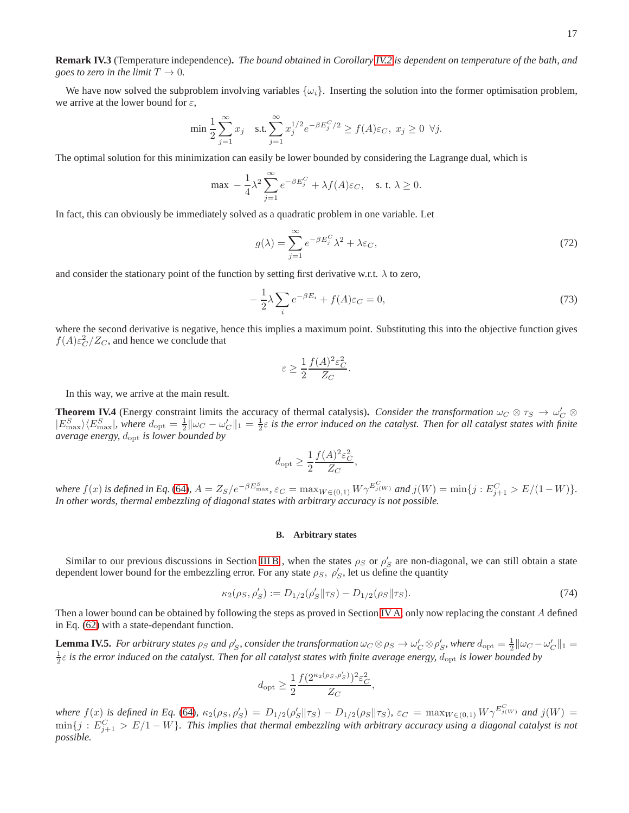**Remark IV.3** (Temperature independence)**.** *The bound obtained in Corollary [IV.2](#page-15-0) is dependent on temperature of the bath, and goes to zero in the limit*  $T \to 0$ *.* 

We have now solved the subproblem involving variables  $\{\omega_i\}$ . Inserting the solution into the former optimisation problem, we arrive at the lower bound for  $\varepsilon$ ,

$$
\min \frac{1}{2} \sum_{j=1}^\infty x_j \quad \text{s.t.} \sum_{j=1}^\infty x_j^{1/2} e^{-\beta E_j^C/2} \ge f(A) \varepsilon_C, \; x_j \ge 0 \;\; \forall j.
$$

The optimal solution for this minimization can easily be lower bounded by considering the Lagrange dual, which is

$$
\max \; -\frac{1}{4}\lambda^2\sum_{j=1}^\infty e^{-\beta E_j^C}+\lambda f(A)\varepsilon_C, \quad \text{s. t. } \lambda\geq 0.
$$

In fact, this can obviously be immediately solved as a quadratic problem in one variable. Let

$$
g(\lambda) = \sum_{j=1}^{\infty} e^{-\beta E_j^C} \lambda^2 + \lambda \varepsilon_C,
$$
\n(72)

and consider the stationary point of the function by setting first derivative w.r.t.  $\lambda$  to zero,

$$
-\frac{1}{2}\lambda\sum_{i}e^{-\beta E_{i}}+f(A)\varepsilon_{C}=0,
$$
\n(73)

where the second derivative is negative, hence this implies a maximum point. Substituting this into the objective function gives  $f(A)\varepsilon_C^2/Z_C$ , and hence we conclude that

$$
\varepsilon \ge \frac{1}{2} \frac{f(A)^2 \varepsilon_C^2}{Z_C}.
$$

In this way, we arrive at the main result.

**Theorem IV.4** (Energy constraint limits the accuracy of thermal catalysis). *Consider the transformation*  $\omega_C \otimes \tau_S \to \omega'_C \otimes \tau_S$  $|E_{\text{max}}^S\rangle\langle E_{\text{max}}^S|$ , where  $d_{\text{opt}} = \frac{1}{2} ||\omega_C - \omega_C'||_1 = \frac{1}{2}\varepsilon$  is the error induced on the catalyst. Then for all catalyst states with finite *average energy,* dopt *is lower bounded by*

$$
d_{\rm opt} \ge \frac{1}{2} \frac{f(A)^2 \varepsilon_C^2}{Z_C},
$$

 $where \ f(x) \ is \ defined \ in \ Eq. (64), \ A = Z_S/e^{-\beta E_{\max}^S}, \ \varepsilon_C = \max_{W \in (0,1)} W \gamma^{E_{j(W)}^C} \ and \ j(W) = \min\{j : E_{j+1}^C > E/(1-W)\}.$  $where \ f(x) \ is \ defined \ in \ Eq. (64), \ A = Z_S/e^{-\beta E_{\max}^S}, \ \varepsilon_C = \max_{W \in (0,1)} W \gamma^{E_{j(W)}^C} \ and \ j(W) = \min\{j : E_{j+1}^C > E/(1-W)\}.$  $where \ f(x) \ is \ defined \ in \ Eq. (64), \ A = Z_S/e^{-\beta E_{\max}^S}, \ \varepsilon_C = \max_{W \in (0,1)} W \gamma^{E_{j(W)}^C} \ and \ j(W) = \min\{j : E_{j+1}^C > E/(1-W)\}.$ *In other words, thermal embezzling of diagonal states with arbitrary accuracy is not possible.*

## **B. Arbitrary states**

Similar to our previous discussions in Section [III B](#page-13-3), when the states  $\rho_S$  or  $\rho_S'$  are non-diagonal, we can still obtain a state dependent lower bound for the embezzling error. For any state  $\rho_S$ ,  $\rho'_S$ , let us define the quantity

$$
\kappa_2(\rho_S, \rho_S') := D_{1/2}(\rho_S' || \tau_S) - D_{1/2}(\rho_S || \tau_S). \tag{74}
$$

Then a lower bound can be obtained by following the steps as proved in Section [IV A,](#page-14-3) only now replacing the constant A defined in Eq. [\(62\)](#page-14-4) with a state-dependant function.

**Lemma IV.5.** For arbitrary states  $\rho_S$  and  $\rho'_S$ , consider the transformation  $\omega_C \otimes \rho_S \to \omega'_C \otimes \rho'_S$ , where  $d_{\text{opt}} = \frac{1}{2} ||\omega_C - \omega'_C||_1 =$  $\frac{1}{2}\varepsilon$  is the error induced on the catalyst. Then for all catalyst states with finite average energy,  $d_{\rm opt}$  is lower bounded by

$$
d_\text{opt} \geq \frac{1}{2} \frac{f(2^{\kappa_2(\rho_S, \rho_S')})^2 \varepsilon_C^2}{Z_C},
$$

*where*  $f(x)$  *is defined in Eq.* [\(64\)](#page-14-2),  $\kappa_2(\rho_S, \rho_S') = D_{1/2}(\rho_S' || \tau_S) - D_{1/2}(\rho_S || \tau_S)$ ,  $\varepsilon_C = \max_{W \in (0,1)} W \gamma^{E_{j(W)}^C}$  and  $j(W) =$  $\min\{j:E_{j+1}^C>E/1-W\}$ . This implies that thermal embezzling with arbitrary accuracy using a diagonal catalyst is not *possible.*